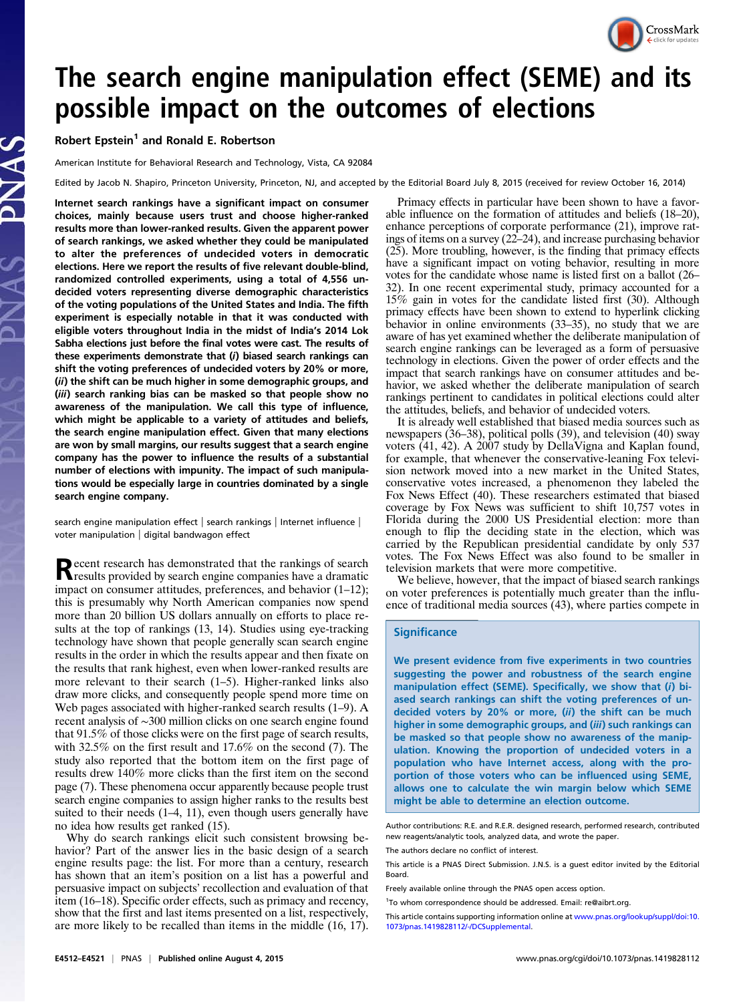# The search engine manipulation effect (SEME) and its possible impact on the outcomes of elections

Robert Epstein<sup>1</sup> and Ronald E. Robertson

American Institute for Behavioral Research and Technology, Vista, CA 92084

Edited by Jacob N. Shapiro, Princeton University, Princeton, NJ, and accepted by the Editorial Board July 8, 2015 (received for review October 16, 2014)

Internet search rankings have a significant impact on consumer choices, mainly because users trust and choose higher-ranked results more than lower-ranked results. Given the apparent power of search rankings, we asked whether they could be manipulated to alter the preferences of undecided voters in democratic elections. Here we report the results of five relevant double-blind, randomized controlled experiments, using a total of 4,556 undecided voters representing diverse demographic characteristics of the voting populations of the United States and India. The fifth experiment is especially notable in that it was conducted with eligible voters throughout India in the midst of India's 2014 Lok Sabha elections just before the final votes were cast. The results of these experiments demonstrate that (i) biased search rankings can shift the voting preferences of undecided voters by 20% or more, (ii) the shift can be much higher in some demographic groups, and (iii) search ranking bias can be masked so that people show no awareness of the manipulation. We call this type of influence, which might be applicable to a variety of attitudes and beliefs, the search engine manipulation effect. Given that many elections are won by small margins, our results suggest that a search engine company has the power to influence the results of a substantial number of elections with impunity. The impact of such manipulations would be especially large in countries dominated by a single search engine company.

search engine manipulation effect | search rankings | Internet influence | voter manipulation | digital bandwagon effect

Recent research has demonstrated that the rankings of search results provided by search engine companies have a dramatic impact on consumer attitudes, preferences, and behavior (1–12); this is presumably why North American companies now spend more than 20 billion US dollars annually on efforts to place results at the top of rankings (13, 14). Studies using eye-tracking technology have shown that people generally scan search engine results in the order in which the results appear and then fixate on the results that rank highest, even when lower-ranked results are more relevant to their search (1–5). Higher-ranked links also draw more clicks, and consequently people spend more time on Web pages associated with higher-ranked search results (1–9). A recent analysis of ∼300 million clicks on one search engine found that 91.5% of those clicks were on the first page of search results, with 32.5% on the first result and 17.6% on the second (7). The study also reported that the bottom item on the first page of results drew 140% more clicks than the first item on the second page (7). These phenomena occur apparently because people trust search engine companies to assign higher ranks to the results best suited to their needs (1–4, 11), even though users generally have no idea how results get ranked (15).

Why do search rankings elicit such consistent browsing behavior? Part of the answer lies in the basic design of a search engine results page: the list. For more than a century, research has shown that an item's position on a list has a powerful and persuasive impact on subjects' recollection and evaluation of that item (16–18). Specific order effects, such as primacy and recency, show that the first and last items presented on a list, respectively, are more likely to be recalled than items in the middle (16, 17).

Primacy effects in particular have been shown to have a favorable influence on the formation of attitudes and beliefs (18–20), enhance perceptions of corporate performance (21), improve ratings of items on a survey (22–24), and increase purchasing behavior (25). More troubling, however, is the finding that primacy effects have a significant impact on voting behavior, resulting in more votes for the candidate whose name is listed first on a ballot (26– 32). In one recent experimental study, primacy accounted for a 15% gain in votes for the candidate listed first (30). Although primacy effects have been shown to extend to hyperlink clicking behavior in online environments (33–35), no study that we are aware of has yet examined whether the deliberate manipulation of search engine rankings can be leveraged as a form of persuasive technology in elections. Given the power of order effects and the impact that search rankings have on consumer attitudes and behavior, we asked whether the deliberate manipulation of search rankings pertinent to candidates in political elections could alter the attitudes, beliefs, and behavior of undecided voters.

CrossMark

It is already well established that biased media sources such as newspapers (36–38), political polls (39), and television (40) sway voters (41, 42). A 2007 study by DellaVigna and Kaplan found, for example, that whenever the conservative-leaning Fox television network moved into a new market in the United States, conservative votes increased, a phenomenon they labeled the Fox News Effect (40). These researchers estimated that biased coverage by Fox News was sufficient to shift 10,757 votes in Florida during the 2000 US Presidential election: more than enough to flip the deciding state in the election, which was carried by the Republican presidential candidate by only 537 votes. The Fox News Effect was also found to be smaller in television markets that were more competitive.

We believe, however, that the impact of biased search rankings on voter preferences is potentially much greater than the influence of traditional media sources (43), where parties compete in

#### **Significance**

We present evidence from five experiments in two countries suggesting the power and robustness of the search engine manipulation effect (SEME). Specifically, we show that (i) biased search rankings can shift the voting preferences of undecided voters by 20% or more, (ii) the shift can be much higher in some demographic groups, and (iii) such rankings can be masked so that people show no awareness of the manipulation. Knowing the proportion of undecided voters in a population who have Internet access, along with the proportion of those voters who can be influenced using SEME, allows one to calculate the win margin below which SEME might be able to determine an election outcome.

Author contributions: R.E. and R.E.R. designed research, performed research, contributed new reagents/analytic tools, analyzed data, and wrote the paper.

The authors declare no conflict of interest.

This article is a PNAS Direct Submission. J.N.S. is a guest editor invited by the Editorial Board.

Freely available online through the PNAS open access option.

<sup>1</sup>To whom correspondence should be addressed. Email: [re@aibrt.org](mailto:re@aibrt.org).

This article contains supporting information online at [www.pnas.org/lookup/suppl/doi:10.](http://www.pnas.org/lookup/suppl/doi:10.1073/pnas.1419828112/-/DCSupplemental) [1073/pnas.1419828112/-/DCSupplemental.](http://www.pnas.org/lookup/suppl/doi:10.1073/pnas.1419828112/-/DCSupplemental)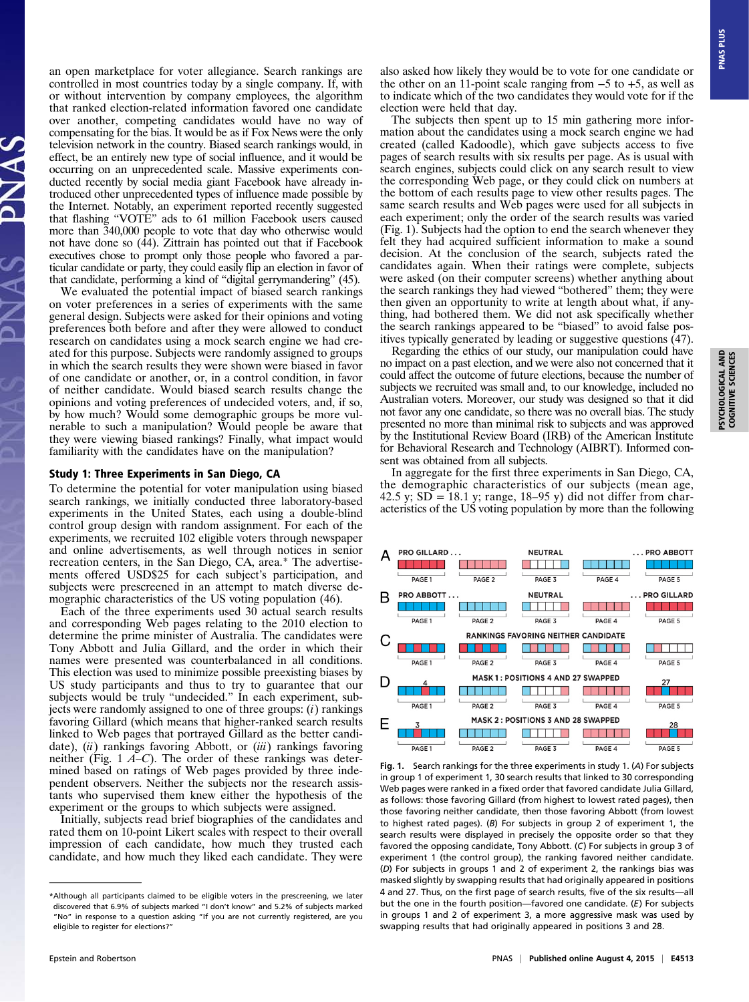an open marketplace for voter allegiance. Search rankings are controlled in most countries today by a single company. If, with or without intervention by company employees, the algorithm that ranked election-related information favored one candidate over another, competing candidates would have no way of compensating for the bias. It would be as if Fox News were the only television network in the country. Biased search rankings would, in effect, be an entirely new type of social influence, and it would be occurring on an unprecedented scale. Massive experiments conducted recently by social media giant Facebook have already introduced other unprecedented types of influence made possible by the Internet. Notably, an experiment reported recently suggested that flashing "VOTE" ads to 61 million Facebook users caused more than 340,000 people to vote that day who otherwise would not have done so (44). Zittrain has pointed out that if Facebook executives chose to prompt only those people who favored a particular candidate or party, they could easily flip an election in favor of that candidate, performing a kind of "digital gerrymandering" (45).

We evaluated the potential impact of biased search rankings on voter preferences in a series of experiments with the same general design. Subjects were asked for their opinions and voting preferences both before and after they were allowed to conduct research on candidates using a mock search engine we had created for this purpose. Subjects were randomly assigned to groups in which the search results they were shown were biased in favor of one candidate or another, or, in a control condition, in favor of neither candidate. Would biased search results change the opinions and voting preferences of undecided voters, and, if so, by how much? Would some demographic groups be more vulnerable to such a manipulation? Would people be aware that they were viewing biased rankings? Finally, what impact would familiarity with the candidates have on the manipulation?

#### Study 1: Three Experiments in San Diego, CA

To determine the potential for voter manipulation using biased search rankings, we initially conducted three laboratory-based experiments in the United States, each using a double-blind control group design with random assignment. For each of the experiments, we recruited 102 eligible voters through newspaper and online advertisements, as well through notices in senior recreation centers, in the San Diego, CA, area.\* The advertisements offered USD\$25 for each subject's participation, and subjects were prescreened in an attempt to match diverse demographic characteristics of the US voting population (46).

Each of the three experiments used 30 actual search results and corresponding Web pages relating to the 2010 election to determine the prime minister of Australia. The candidates were Tony Abbott and Julia Gillard, and the order in which their names were presented was counterbalanced in all conditions. This election was used to minimize possible preexisting biases by US study participants and thus to try to guarantee that our subjects would be truly "undecided." In each experiment, subjects were randomly assigned to one of three groups:  $(i)$  rankings favoring Gillard (which means that higher-ranked search results linked to Web pages that portrayed Gillard as the better candidate),  $(ii)$  rankings favoring Abbott, or  $(iii)$  rankings favoring neither (Fig.  $1 A-C$ ). The order of these rankings was determined based on ratings of Web pages provided by three independent observers. Neither the subjects nor the research assistants who supervised them knew either the hypothesis of the experiment or the groups to which subjects were assigned.

Initially, subjects read brief biographies of the candidates and rated them on 10-point Likert scales with respect to their overall impression of each candidate, how much they trusted each candidate, and how much they liked each candidate. They were also asked how likely they would be to vote for one candidate or the other on an 11-point scale ranging from  $-5$  to  $+5$ , as well as to indicate which of the two candidates they would vote for if the election were held that day.

The subjects then spent up to 15 min gathering more information about the candidates using a mock search engine we had created (called Kadoodle), which gave subjects access to five pages of search results with six results per page. As is usual with search engines, subjects could click on any search result to view the corresponding Web page, or they could click on numbers at the bottom of each results page to view other results pages. The same search results and Web pages were used for all subjects in each experiment; only the order of the search results was varied (Fig. 1). Subjects had the option to end the search whenever they felt they had acquired sufficient information to make a sound decision. At the conclusion of the search, subjects rated the candidates again. When their ratings were complete, subjects were asked (on their computer screens) whether anything about the search rankings they had viewed "bothered" them; they were then given an opportunity to write at length about what, if anything, had bothered them. We did not ask specifically whether the search rankings appeared to be "biased" to avoid false positives typically generated by leading or suggestive questions (47).

Regarding the ethics of our study, our manipulation could have no impact on a past election, and we were also not concerned that it could affect the outcome of future elections, because the number of subjects we recruited was small and, to our knowledge, included no Australian voters. Moreover, our study was designed so that it did not favor any one candidate, so there was no overall bias. The study presented no more than minimal risk to subjects and was approved by the Institutional Review Board (IRB) of the American Institute for Behavioral Research and Technology (AIBRT). Informed consent was obtained from all subjects.

In aggregate for the first three experiments in San Diego, CA, the demographic characteristics of our subjects (mean age, 42.5 y;  $SD = 18.1$  y; range,  $18-95$  y) did not differ from characteristics of the US voting population by more than the following



Fig. 1. Search rankings for the three experiments in study 1. (A) For subjects in group 1 of experiment 1, 30 search results that linked to 30 corresponding Web pages were ranked in a fixed order that favored candidate Julia Gillard, as follows: those favoring Gillard (from highest to lowest rated pages), then those favoring neither candidate, then those favoring Abbott (from lowest to highest rated pages). (B) For subjects in group 2 of experiment 1, the search results were displayed in precisely the opposite order so that they favored the opposing candidate, Tony Abbott. (C) For subjects in group 3 of experiment 1 (the control group), the ranking favored neither candidate. (D) For subjects in groups 1 and 2 of experiment 2, the rankings bias was masked slightly by swapping results that had originally appeared in positions 4 and 27. Thus, on the first page of search results, five of the six results—all but the one in the fourth position—favored one candidate. (E) For subjects in groups 1 and 2 of experiment 3, a more aggressive mask was used by swapping results that had originally appeared in positions 3 and 28.

<sup>\*</sup>Although all participants claimed to be eligible voters in the prescreening, we later discovered that 6.9% of subjects marked "I don't know" and 5.2% of subjects marked "No" in response to a question asking "If you are not currently registered, are you eligible to register for elections?"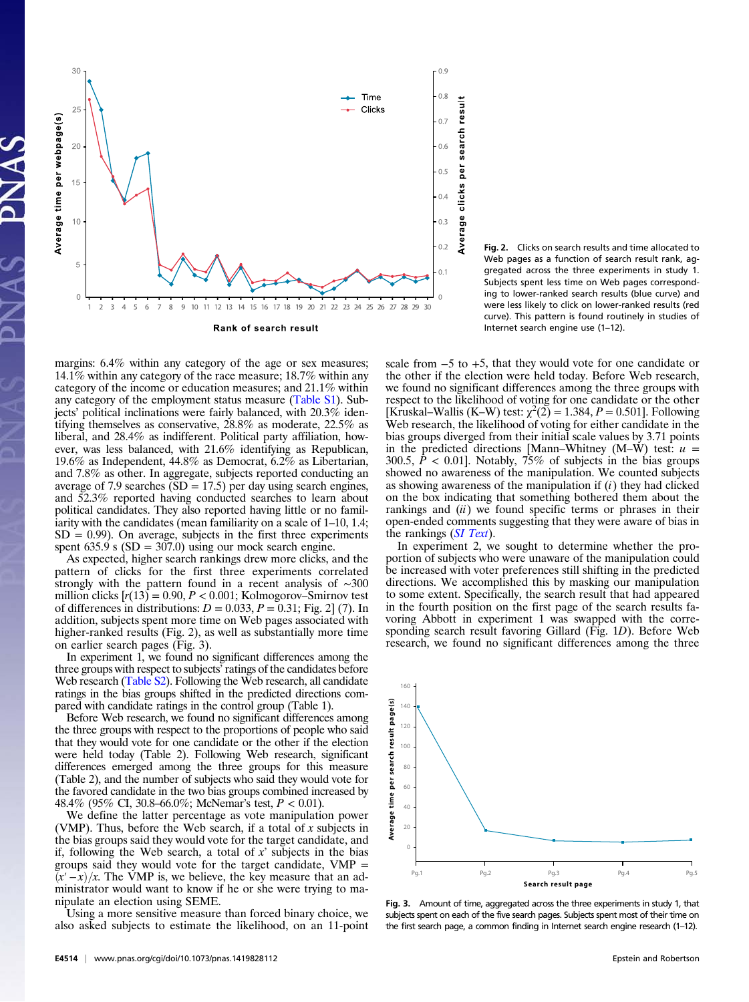

Fig. 2. Clicks on search results and time allocated to Web pages as a function of search result rank, aggregated across the three experiments in study 1. Subjects spent less time on Web pages corresponding to lower-ranked search results (blue curve) and were less likely to click on lower-ranked results (red curve). This pattern is found routinely in studies of Internet search engine use (1–12).

margins: 6.4% within any category of the age or sex measures; 14.1% within any category of the race measure; 18.7% within any category of the income or education measures; and 21.1% within any category of the employment status measure [\(Table S1\)](http://www.pnas.org/lookup/suppl/doi:10.1073/pnas.1419828112/-/DCSupplemental/pnas.201419828SI.pdf?targetid=nameddest=ST1). Subjects' political inclinations were fairly balanced, with 20.3% identifying themselves as conservative, 28.8% as moderate, 22.5% as liberal, and 28.4% as indifferent. Political party affiliation, however, was less balanced, with 21.6% identifying as Republican, 19.6% as Independent, 44.8% as Democrat, 6.2% as Libertarian, and 7.8% as other. In aggregate, subjects reported conducting an average of 7.9 searches  $(SD = 17.5)$  per day using search engines, and 52.3% reported having conducted searches to learn about political candidates. They also reported having little or no familiarity with the candidates (mean familiarity on a scale of 1–10, 1.4;  $SD = 0.99$ ). On average, subjects in the first three experiments spent  $635.9$  s  $(SD = 307.0)$  using our mock search engine.

As expected, higher search rankings drew more clicks, and the pattern of clicks for the first three experiments correlated strongly with the pattern found in a recent analysis of ∼300 million clicks  $[r(13) = 0.90, P < 0.001;$  Kolmogorov–Smirnov test of differences in distributions:  $D = 0.033$ ,  $P = 0.31$ ; Fig. 2] (7). In addition, subjects spent more time on Web pages associated with higher-ranked results (Fig. 2), as well as substantially more time on earlier search pages (Fig. 3).

In experiment 1, we found no significant differences among the three groups with respect to subjects'ratings of the candidates before Web research ([Table S2](http://www.pnas.org/lookup/suppl/doi:10.1073/pnas.1419828112/-/DCSupplemental/pnas.201419828SI.pdf?targetid=nameddest=ST2)). Following the Web research, all candidate ratings in the bias groups shifted in the predicted directions compared with candidate ratings in the control group (Table 1).

Before Web research, we found no significant differences among the three groups with respect to the proportions of people who said that they would vote for one candidate or the other if the election were held today (Table 2). Following Web research, significant differences emerged among the three groups for this measure (Table 2), and the number of subjects who said they would vote for the favored candidate in the two bias groups combined increased by 48.4% (95% CI, 30.8–66.0%; McNemar's test,  $P < 0.01$ ).

We define the latter percentage as vote manipulation power (VMP). Thus, before the Web search, if a total of  $x$  subjects in the bias groups said they would vote for the target candidate, and if, following the Web search, a total of  $x'$  subjects in the bias groups said they would vote for the target candidate,  $VMP =$  $(x'-x)/x$ . The VMP is, we believe, the key measure that an administrator would want to know if he or she were trying to manipulate an election using SEME.

Using a more sensitive measure than forced binary choice, we also asked subjects to estimate the likelihood, on an 11-point scale from  $-5$  to  $+5$ , that they would vote for one candidate or the other if the election were held today. Before Web research, we found no significant differences among the three groups with respect to the likelihood of voting for one candidate or the other [Kruskal–Wallis (K–W) test:  $\chi^2(2) = 1.384$ ,  $P = 0.501$ ]. Following Web research, the likelihood of voting for either candidate in the bias groups diverged from their initial scale values by 3.71 points in the predicted directions [Mann–Whitney (M–W) test:  $u =$ 300.5,  $\bar{P}$  < 0.01]. Notably, 75% of subjects in the bias groups showed no awareness of the manipulation. We counted subjects as showing awareness of the manipulation if  $(i)$  they had clicked on the box indicating that something bothered them about the rankings and  $(ii)$  we found specific terms or phrases in their open-ended comments suggesting that they were aware of bias in the rankings ([SI Text](http://www.pnas.org/lookup/suppl/doi:10.1073/pnas.1419828112/-/DCSupplemental/pnas.201419828SI.pdf?targetid=nameddest=STXT)).

In experiment 2, we sought to determine whether the proportion of subjects who were unaware of the manipulation could be increased with voter preferences still shifting in the predicted directions. We accomplished this by masking our manipulation to some extent. Specifically, the search result that had appeared in the fourth position on the first page of the search results favoring Abbott in experiment 1 was swapped with the corresponding search result favoring Gillard (Fig. 1D). Before Web research, we found no significant differences among the three

 $160$ 

search result page(s) **Average time per search result page(s)** 140 120 100 80 Average time per 60  $40$  $\overline{20}$  $\frac{p_{1}}{p_{2}}$  Pg. 2 Pg. 2 Pg. 2 Pg. 2 Pg. 2 Pg. 2 Pg. 2 Pg. 2 Pg. 2 Pg. 2 Pg. 2 Pg. 2 Pg. 2 Pg. 2 Pg. 2 Pg. 2 Pg. 2 Pg. 2 Pg. 2 Pg. 2 Pg. 2 Pg. 2 Pg. 2 Pg. 2 Pg. 2 Pg. 2 Pg. 2 Pg. 2 Pg. 2 Pg. 2 Pg. 2 Pg. 2 Pg. 2 Pg. 2 Pg **Search result page**

Fig. 3. Amount of time, aggregated across the three experiments in study 1, that subjects spent on each of the five search pages. Subjects spent most of their time on the first search page, a common finding in Internet search engine research (1–12).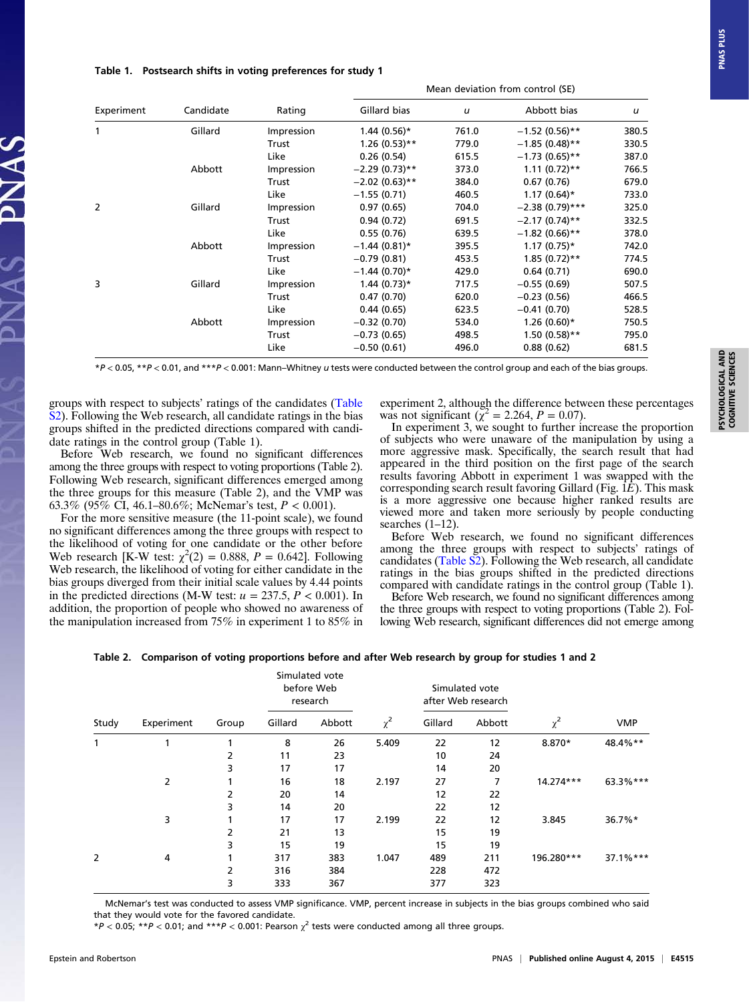#### Table 1. Postsearch shifts in voting preferences for study 1

|            |           |            | Mean deviation from control (SE) |       |                   |       |  |
|------------|-----------|------------|----------------------------------|-------|-------------------|-------|--|
| Experiment | Candidate | Rating     | Gillard bias                     | u     | Abbott bias       | u     |  |
|            | Gillard   | Impression | $1.44(0.56)*$                    | 761.0 | $-1.52(0.56)$ **  | 380.5 |  |
|            |           | Trust      | $1.26(0.53)$ **                  | 779.0 | $-1.85(0.48)$ **  | 330.5 |  |
|            |           | Like       | 0.26(0.54)                       | 615.5 | $-1.73(0.65)$ **  | 387.0 |  |
|            | Abbott    | Impression | $-2.29(0.73)$ **                 | 373.0 | $1.11(0.72)$ **   | 766.5 |  |
|            |           | Trust      | $-2.02(0.63)$ **                 | 384.0 | 0.67(0.76)        | 679.0 |  |
|            |           | Like       | $-1.55(0.71)$                    | 460.5 | $1.17(0.64)$ *    | 733.0 |  |
| 2          | Gillard   | Impression | 0.97(0.65)                       | 704.0 | $-2.38(0.79)$ *** | 325.0 |  |
|            |           | Trust      | 0.94(0.72)                       | 691.5 | $-2.17(0.74)$ **  | 332.5 |  |
|            |           | Like       | 0.55(0.76)                       | 639.5 | $-1.82(0.66)$ **  | 378.0 |  |
|            | Abbott    | Impression | $-1.44(0.81)$ *                  | 395.5 | $1.17(0.75)*$     | 742.0 |  |
|            |           | Trust      | $-0.79(0.81)$                    | 453.5 | $1.85(0.72)$ **   | 774.5 |  |
|            |           | Like       | $-1.44(0.70)*$                   | 429.0 | 0.64(0.71)        | 690.0 |  |
| 3          | Gillard   | Impression | $1.44(0.73)*$                    | 717.5 | $-0.55(0.69)$     | 507.5 |  |
|            |           | Trust      | 0.47(0.70)                       | 620.0 | $-0.23(0.56)$     | 466.5 |  |
|            |           | Like       | 0.44(0.65)                       | 623.5 | $-0.41(0.70)$     | 528.5 |  |
|            | Abbott    | Impression | $-0.32(0.70)$                    | 534.0 | $1.26(0.60)*$     | 750.5 |  |
|            |           | Trust      | $-0.73(0.65)$                    | 498.5 | $1.50(0.58)$ **   | 795.0 |  |
|            |           | Like       | $-0.50(0.61)$                    | 496.0 | 0.88(0.62)        | 681.5 |  |

 $*P < 0.05$ ,  $*P < 0.01$ , and  $***P < 0.001$ : Mann–Whitney u tests were conducted between the control group and each of the bias groups.

groups with respect to subjects' ratings of the candidates ([Table](http://www.pnas.org/lookup/suppl/doi:10.1073/pnas.1419828112/-/DCSupplemental/pnas.201419828SI.pdf?targetid=nameddest=ST2) [S2\)](http://www.pnas.org/lookup/suppl/doi:10.1073/pnas.1419828112/-/DCSupplemental/pnas.201419828SI.pdf?targetid=nameddest=ST2). Following the Web research, all candidate ratings in the bias groups shifted in the predicted directions compared with candidate ratings in the control group (Table 1).

Before Web research, we found no significant differences among the three groups with respect to voting proportions (Table 2). Following Web research, significant differences emerged among the three groups for this measure (Table 2), and the VMP was 63.3% (95% CI, 46.1–80.6%; McNemar's test,  $P < 0.001$ ).

For the more sensitive measure (the 11-point scale), we found no significant differences among the three groups with respect to the likelihood of voting for one candidate or the other before Web research [K-W test:  $\chi^2(2) = 0.888$ ,  $P = 0.642$ ]. Following Web research, the likelihood of voting for either candidate in the bias groups diverged from their initial scale values by 4.44 points in the predicted directions (M-W test:  $u = 237.5$ ,  $P < 0.001$ ). In addition, the proportion of people who showed no awareness of the manipulation increased from 75% in experiment 1 to 85% in experiment 2, although the difference between these percentages was not significant ( $\chi^2 = 2.264$ ,  $P = 0.07$ ).

In experiment 3, we sought to further increase the proportion of subjects who were unaware of the manipulation by using a more aggressive mask. Specifically, the search result that had appeared in the third position on the first page of the search results favoring Abbott in experiment 1 was swapped with the corresponding search result favoring Gillard (Fig. 1E). This mask is a more aggressive one because higher ranked results are viewed more and taken more seriously by people conducting searches (1–12).

Before Web research, we found no significant differences among the three groups with respect to subjects' ratings of candidates ([Table S2\)](http://www.pnas.org/lookup/suppl/doi:10.1073/pnas.1419828112/-/DCSupplemental/pnas.201419828SI.pdf?targetid=nameddest=ST2). Following the Web research, all candidate ratings in the bias groups shifted in the predicted directions compared with candidate ratings in the control group (Table 1).

Before Web research, we found no significant differences among the three groups with respect to voting proportions (Table 2). Following Web research, significant differences did not emerge among

|  | Table 2. Comparison of voting proportions before and after Web research by group for studies 1 and 2 |  |  |  |  |  |  |  |
|--|------------------------------------------------------------------------------------------------------|--|--|--|--|--|--|--|
|--|------------------------------------------------------------------------------------------------------|--|--|--|--|--|--|--|

|       |            |       | research |        | Simulated vote<br>before Web |         | Simulated vote<br>after Web research |             |            |
|-------|------------|-------|----------|--------|------------------------------|---------|--------------------------------------|-------------|------------|
| Study | Experiment | Group | Gillard  | Abbott | $\chi^2$                     | Gillard | Abbott                               | $\chi^2$    | <b>VMP</b> |
| 1     |            |       | 8        | 26     | 5.409                        | 22      | 12                                   | 8.870*      | 48.4%**    |
|       |            | 2     | 11       | 23     |                              | 10      | 24                                   |             |            |
|       |            | 3     | 17       | 17     |                              | 14      | 20                                   |             |            |
|       | 2          |       | 16       | 18     | 2.197                        | 27      | 7                                    | $14.274***$ | 63.3%***   |
|       |            | 2     | 20       | 14     |                              | 12      | 22                                   |             |            |
|       |            | 3     | 14       | 20     |                              | 22      | 12                                   |             |            |
|       | 3          |       | 17       | 17     | 2.199                        | 22      | 12                                   | 3.845       | 36.7%*     |
|       |            | 2     | 21       | 13     |                              | 15      | 19                                   |             |            |
|       |            | 3     | 15       | 19     |                              | 15      | 19                                   |             |            |
| 2     | 4          |       | 317      | 383    | 1.047                        | 489     | 211                                  | 196.280***  | 37.1%***   |
|       |            | 2     | 316      | 384    |                              | 228     | 472                                  |             |            |
|       |            | 3     | 333      | 367    |                              | 377     | 323                                  |             |            |

McNemar's test was conducted to assess VMP significance. VMP, percent increase in subjects in the bias groups combined who said that they would vote for the favored candidate.

\*P < 0.05; \*\*P < 0.01; and \*\*\*P < 0.001: Pearson  $\chi^2$  tests were conducted among all three groups.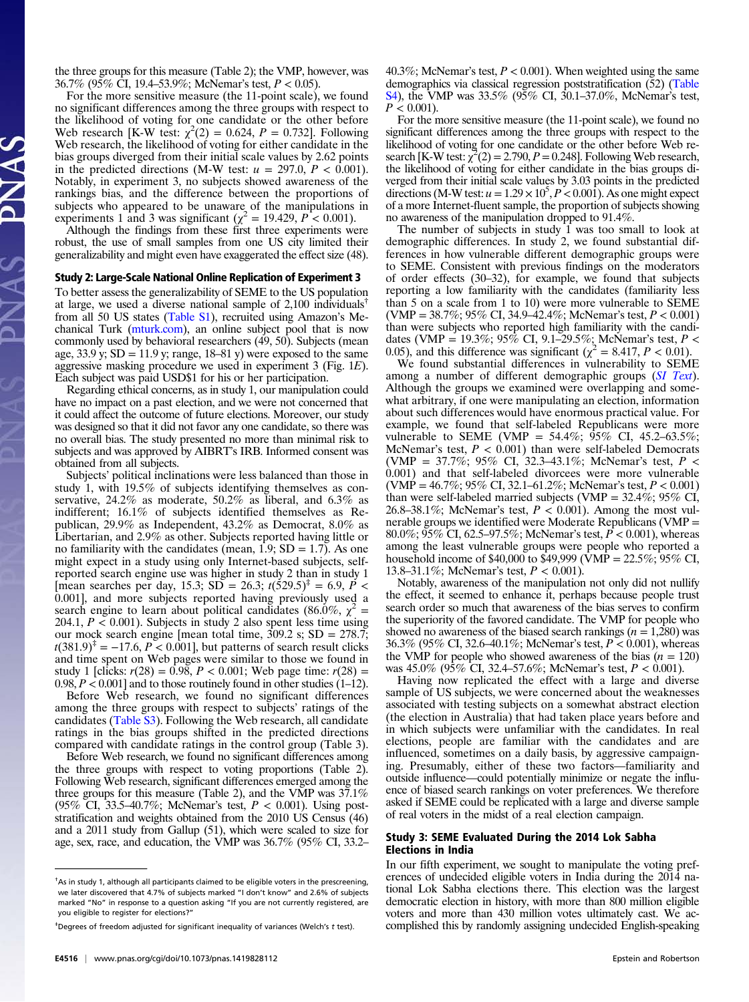the three groups for this measure (Table 2); the VMP, however, was 36.7% (95% CI, 19.4–53.9%; McNemar's test, P < 0.05).

For the more sensitive measure (the 11-point scale), we found no significant differences among the three groups with respect to the likelihood of voting for one candidate or the other before Web research [K-W test:  $\chi^2(2) = 0.624$ ,  $P = 0.732$ ]. Following Web research, the likelihood of voting for either candidate in the bias groups diverged from their initial scale values by 2.62 points in the predicted directions (M-W test:  $u = 297.0$ ,  $P < 0.001$ ). Notably, in experiment 3, no subjects showed awareness of the rankings bias, and the difference between the proportions of subjects who appeared to be unaware of the manipulations in experiments 1 and 3 was significant ( $\chi^2 = 19.429$ ,  $P < 0.001$ ).

Although the findings from these first three experiments were robust, the use of small samples from one US city limited their generalizability and might even have exaggerated the effect size (48).

#### Study 2: Large-Scale National Online Replication of Experiment 3

To better assess the generalizability of SEME to the US population at large, we used a diverse national sample of 2,100 individuals† from all 50 US states [\(Table S1\)](http://www.pnas.org/lookup/suppl/doi:10.1073/pnas.1419828112/-/DCSupplemental/pnas.201419828SI.pdf?targetid=nameddest=ST1), recruited using Amazon's Mechanical Turk [\(mturk.com\)](http://mturk.com/), an online subject pool that is now commonly used by behavioral researchers (49, 50). Subjects (mean age,  $33.9$  y;  $SD = 11.9$  y; range,  $18-81$  y) were exposed to the same aggressive masking procedure we used in experiment 3 (Fig. 1E). Each subject was paid USD\$1 for his or her participation.

Regarding ethical concerns, as in study 1, our manipulation could have no impact on a past election, and we were not concerned that it could affect the outcome of future elections. Moreover, our study was designed so that it did not favor any one candidate, so there was no overall bias. The study presented no more than minimal risk to subjects and was approved by AIBRT's IRB. Informed consent was obtained from all subjects.

Subjects' political inclinations were less balanced than those in study 1, with 19.5% of subjects identifying themselves as conservative, 24.2% as moderate, 50.2% as liberal, and 6.3% as indifferent; 16.1% of subjects identified themselves as Republican, 29.9% as Independent, 43.2% as Democrat, 8.0% as Libertarian, and 2.9% as other. Subjects reported having little or no familiarity with the candidates (mean,  $1.9$ ;  $SD = 1.7$ ). As one might expect in a study using only Internet-based subjects, selfreported search engine use was higher in study 2 than in study 1 [mean searches per day, 15.3;  $SD = 26.3$ ;  $t(529.5)^{\ddagger} = 6.9$ ,  $P \le$ 0.001], and more subjects reported having previously used a search engine to learn about political candidates (86.0%,  $\chi^2$  = 204.1,  $P < 0.001$ ). Subjects in study 2 also spent less time using our mock search engine [mean total time,  $309.2$  s; SD =  $278.7$ ;  $t(381.9)^{\ddagger} = -17.6, P < 0.001$ , but patterns of search result clicks and time spent on Web pages were similar to those we found in study 1 [clicks:  $r(28) = 0.98$ ,  $P < 0.001$ ; Web page time:  $r(28) =$  $0.98, P < 0.001$  and to those routinely found in other studies (1–12).

Before Web research, we found no significant differences among the three groups with respect to subjects' ratings of the candidates ([Table S3\)](http://www.pnas.org/lookup/suppl/doi:10.1073/pnas.1419828112/-/DCSupplemental/pnas.201419828SI.pdf?targetid=nameddest=ST3). Following the Web research, all candidate ratings in the bias groups shifted in the predicted directions compared with candidate ratings in the control group (Table 3).

Before Web research, we found no significant differences among the three groups with respect to voting proportions (Table 2). Following Web research, significant differences emerged among the three groups for this measure (Table 2), and the VMP was 37.1% (95% CI, 33.5–40.7%; McNemar's test,  $P < 0.001$ ). Using poststratification and weights obtained from the 2010 US Census (46) and a 2011 study from Gallup (51), which were scaled to size for age, sex, race, and education, the VMP was 36.7% (95% CI, 33.2– 40.3%; McNemar's test,  $P < 0.001$ ). When weighted using the same demographics via classical regression poststratification (52) [\(Table](http://www.pnas.org/lookup/suppl/doi:10.1073/pnas.1419828112/-/DCSupplemental/pnas.201419828SI.pdf?targetid=nameddest=ST4) [S4](http://www.pnas.org/lookup/suppl/doi:10.1073/pnas.1419828112/-/DCSupplemental/pnas.201419828SI.pdf?targetid=nameddest=ST4)), the VMP was 33.5% (95% CI, 30.1–37.0%, McNemar's test,  $P < 0.001$ ).

For the more sensitive measure (the 11-point scale), we found no significant differences among the three groups with respect to the likelihood of voting for one candidate or the other before Web research [K-W test:  $\chi^2(2) = 2.790, P = 0.248$ ]. Following Web research, the likelihood of voting for either candidate in the bias groups diverged from their initial scale values by 3.03 points in the predicted directions (M-W test:  $u = 1.29 \times 10^5$ ,  $P < 0.001$ ). As one might expect of a more Internet-fluent sample, the proportion of subjects showing no awareness of the manipulation dropped to 91.4%.

The number of subjects in study  $\hat{1}$  was too small to look at demographic differences. In study 2, we found substantial differences in how vulnerable different demographic groups were to SEME. Consistent with previous findings on the moderators of order effects (30–32), for example, we found that subjects reporting a low familiarity with the candidates (familiarity less than 5 on a scale from 1 to 10) were more vulnerable to SEME (VMP = 38.7%; 95% CI, 34.9–42.4%; McNemar's test,  $P < 0.001$ ) than were subjects who reported high familiarity with the candidates (VMP = 19.3%; 95% CI, 9.1–29.5%; McNemar's test,  $P < 0.05$ ), and this difference was significant ( $\chi^2 = 8.417$ ,  $P < 0.01$ ).

We found substantial differences in vulnerability to SEME among a number of different demographic groups ([SI Text](http://www.pnas.org/lookup/suppl/doi:10.1073/pnas.1419828112/-/DCSupplemental/pnas.201419828SI.pdf?targetid=nameddest=STXT)). Although the groups we examined were overlapping and somewhat arbitrary, if one were manipulating an election, information about such differences would have enormous practical value. For example, we found that self-labeled Republicans were more vulnerable to SEME (VMP = 54.4%;  $95\%$  CI, 45.2–63.5%; McNemar's test,  $P < 0.001$ ) than were self-labeled Democrats (VMP = 37.7%; 95% CI, 32.3–43.1%; McNemar's test,  $P <$ 0.001) and that self-labeled divorcees were more vulnerable (VMP = 46.7%; 95% CI, 32.1–61.2%; McNemar's test,  $P < 0.001$ ) than were self-labeled married subjects (VMP =  $32.4\%$ ; 95% CI, 26.8–38.1%; McNemar's test,  $P < 0.001$ ). Among the most vulnerable groups we identified were Moderate Republicans (VMP = 80.0%; 95% CI, 62.5–97.5%; McNemar's test,  $P < 0.001$ ), whereas among the least vulnerable groups were people who reported a household income of \$40,000 to \$49,999 ( $\overrightarrow{VMP} = 22.5\%; 95\% \text{ CI},$ 13.8–31.1%; McNemar's test,  $P < 0.001$ ).

Notably, awareness of the manipulation not only did not nullify the effect, it seemed to enhance it, perhaps because people trust search order so much that awareness of the bias serves to confirm the superiority of the favored candidate. The VMP for people who showed no awareness of the biased search rankings ( $n = 1,280$ ) was 36.3% (95% CI, 32.6–40.1%; McNemar's test,  $P < 0.001$ ), whereas the VMP for people who showed awareness of the bias ( $n = 120$ ) was 45.0% (95% CI, 32.4–57.6%; McNemar's test,  $P < 0.001$ ).

Having now replicated the effect with a large and diverse sample of US subjects, we were concerned about the weaknesses associated with testing subjects on a somewhat abstract election (the election in Australia) that had taken place years before and in which subjects were unfamiliar with the candidates. In real elections, people are familiar with the candidates and are influenced, sometimes on a daily basis, by aggressive campaigning. Presumably, either of these two factors—familiarity and outside influence—could potentially minimize or negate the influence of biased search rankings on voter preferences. We therefore asked if SEME could be replicated with a large and diverse sample of real voters in the midst of a real election campaign.

#### Study 3: SEME Evaluated During the 2014 Lok Sabha Elections in India

In our fifth experiment, we sought to manipulate the voting preferences of undecided eligible voters in India during the 2014 national Lok Sabha elections there. This election was the largest democratic election in history, with more than 800 million eligible voters and more than 430 million votes ultimately cast. We accomplished this by randomly assigning undecided English-speaking

<sup>†</sup> As in study 1, although all participants claimed to be eligible voters in the prescreening, we later discovered that 4.7% of subjects marked "I don't know" and 2.6% of subjects marked "No" in response to a question asking "If you are not currently registered, are you eligible to register for elections?"

<sup>‡</sup> Degrees of freedom adjusted for significant inequality of variances (Welch's t test).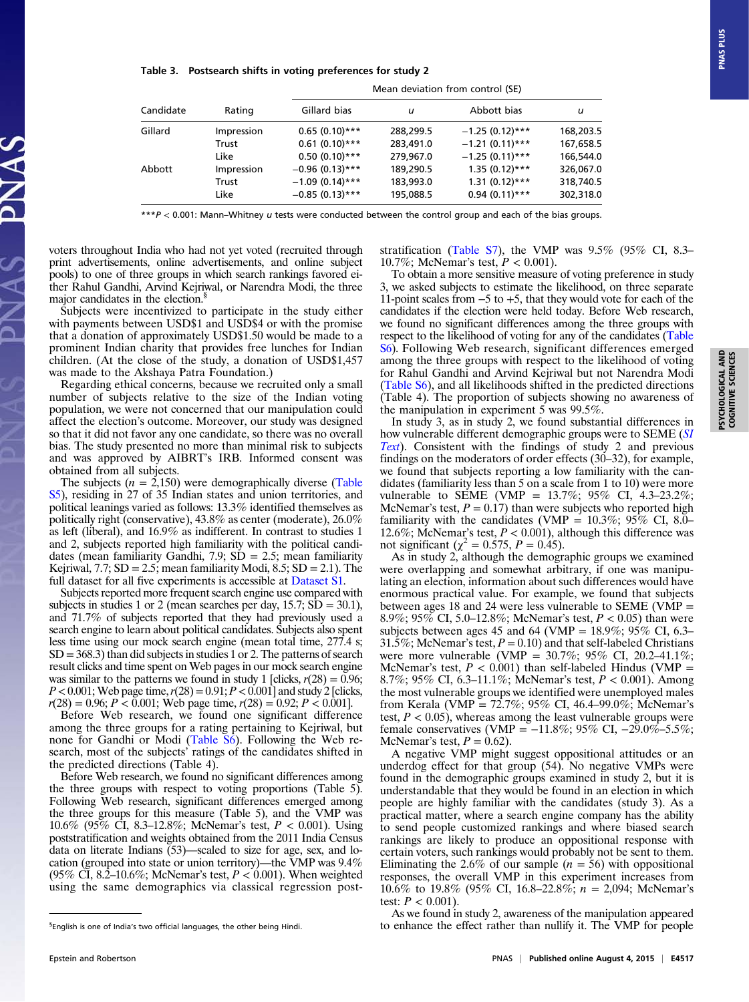Table 3. Postsearch shifts in voting preferences for study 2

| u         |
|-----------|
|           |
| 168,203.5 |
| 167,658.5 |
| 166,544.0 |
| 326,067.0 |
| 318,740.5 |
| 302,318.0 |
|           |

Mean deviation from control (SE)

\*\*\*P < 0.001: Mann–Whitney u tests were conducted between the control group and each of the bias groups.

voters throughout India who had not yet voted (recruited through print advertisements, online advertisements, and online subject pools) to one of three groups in which search rankings favored either Rahul Gandhi, Arvind Kejriwal, or Narendra Modi, the three major candidates in the election.

Subjects were incentivized to participate in the study either with payments between USD\$1 and USD\$4 or with the promise that a donation of approximately USD\$1.50 would be made to a prominent Indian charity that provides free lunches for Indian children. (At the close of the study, a donation of USD\$1,457 was made to the Akshaya Patra Foundation.)

Regarding ethical concerns, because we recruited only a small number of subjects relative to the size of the Indian voting population, we were not concerned that our manipulation could affect the election's outcome. Moreover, our study was designed so that it did not favor any one candidate, so there was no overall bias. The study presented no more than minimal risk to subjects and was approved by AIBRT's IRB. Informed consent was obtained from all subjects.

The subjects  $(n = 2,150)$  were demographically diverse [\(Table](http://www.pnas.org/lookup/suppl/doi:10.1073/pnas.1419828112/-/DCSupplemental/pnas.201419828SI.pdf?targetid=nameddest=ST5) [S5\)](http://www.pnas.org/lookup/suppl/doi:10.1073/pnas.1419828112/-/DCSupplemental/pnas.201419828SI.pdf?targetid=nameddest=ST5), residing in 27 of 35 Indian states and union territories, and political leanings varied as follows: 13.3% identified themselves as politically right (conservative), 43.8% as center (moderate), 26.0% as left (liberal), and 16.9% as indifferent. In contrast to studies 1 and 2, subjects reported high familiarity with the political candidates (mean familiarity Gandhi, 7.9;  $SD = 2.5$ ; mean familiarity Kejriwal,  $7.7$ ; SD =  $2.5$ ; mean familiarity Modi,  $8.5$ ; SD =  $2.1$ ). The full dataset for all five experiments is accessible at [Dataset S1](http://www.pnas.org/lookup/suppl/doi:10.1073/pnas.1419828112/-/DCSupplemental/pnas.1419828112.sd01.xls).

Subjects reported more frequent search engine use compared with subjects in studies 1 or 2 (mean searches per day,  $15.7$ ;  $SD = 30.1$ ), and 71.7% of subjects reported that they had previously used a search engine to learn about political candidates. Subjects also spent less time using our mock search engine (mean total time, 277.4 s;  $SD = 368.3$ ) than did subjects in studies 1 or 2. The patterns of search result clicks and time spent on Web pages in our mock search engine was similar to the patterns we found in study 1 [clicks,  $r(28) = 0.96$ ;  $P < 0.001$ ; Web page time,  $r(28) = 0.91$ ;  $P < 0.001$ ] and study 2 [clicks,  $r(28) = 0.96; P < 0.001;$  Web page time,  $r(28) = 0.92; P < 0.001$ .

Before Web research, we found one significant difference among the three groups for a rating pertaining to Kejriwal, but none for Gandhi or Modi ([Table S6\)](http://www.pnas.org/lookup/suppl/doi:10.1073/pnas.1419828112/-/DCSupplemental/pnas.201419828SI.pdf?targetid=nameddest=ST6). Following the Web research, most of the subjects' ratings of the candidates shifted in the predicted directions (Table 4).

Before Web research, we found no significant differences among the three groups with respect to voting proportions (Table 5). Following Web research, significant differences emerged among the three groups for this measure (Table 5), and the VMP was 10.6% (95% CI, 8.3–12.8%; McNemar's test, P < 0.001). Using poststratification and weights obtained from the 2011 India Census data on literate Indians (53)—scaled to size for age, sex, and location (grouped into state or union territory)—the VMP was 9.4% (95% CI, 8.2–10.6%; McNemar's test,  $P < 0.001$ ). When weighted using the same demographics via classical regression poststratification ([Table S7\)](http://www.pnas.org/lookup/suppl/doi:10.1073/pnas.1419828112/-/DCSupplemental/pnas.201419828SI.pdf?targetid=nameddest=ST7), the VMP was 9.5% (95% CI, 8.3– 10.7%; McNemar's test,  $P < 0.001$ ).

To obtain a more sensitive measure of voting preference in study 3, we asked subjects to estimate the likelihood, on three separate 11-point scales from −5 to +5, that they would vote for each of the candidates if the election were held today. Before Web research, we found no significant differences among the three groups with respect to the likelihood of voting for any of the candidates ([Table](http://www.pnas.org/lookup/suppl/doi:10.1073/pnas.1419828112/-/DCSupplemental/pnas.201419828SI.pdf?targetid=nameddest=ST6) [S6\)](http://www.pnas.org/lookup/suppl/doi:10.1073/pnas.1419828112/-/DCSupplemental/pnas.201419828SI.pdf?targetid=nameddest=ST6). Following Web research, significant differences emerged among the three groups with respect to the likelihood of voting for Rahul Gandhi and Arvind Kejriwal but not Narendra Modi [\(Table S6\)](http://www.pnas.org/lookup/suppl/doi:10.1073/pnas.1419828112/-/DCSupplemental/pnas.201419828SI.pdf?targetid=nameddest=ST6), and all likelihoods shifted in the predicted directions (Table 4). The proportion of subjects showing no awareness of the manipulation in experiment 5 was 99.5%.

In study 3, as in study 2, we found substantial differences in how vulnerable different demographic groups were to SEME ([SI](http://www.pnas.org/lookup/suppl/doi:10.1073/pnas.1419828112/-/DCSupplemental/pnas.201419828SI.pdf?targetid=nameddest=STXT) [Text](http://www.pnas.org/lookup/suppl/doi:10.1073/pnas.1419828112/-/DCSupplemental/pnas.201419828SI.pdf?targetid=nameddest=STXT)). Consistent with the findings of study 2 and previous findings on the moderators of order effects (30–32), for example, we found that subjects reporting a low familiarity with the candidates (familiarity less than 5 on a scale from 1 to 10) were more vulnerable to SEME (VMP =  $13.7\%$ ; 95% CI, 4.3–23.2%; McNemar's test,  $P = 0.17$ ) than were subjects who reported high familiarity with the candidates (VMP =  $10.3\%$ ; 95% CI, 8.0– 12.6%; McNemar's test,  $P < 0.001$ ), although this difference was not significant ( $\chi^2 = 0.575$ ,  $P = 0.45$ ).

As in study 2, although the demographic groups we examined were overlapping and somewhat arbitrary, if one was manipulating an election, information about such differences would have enormous practical value. For example, we found that subjects between ages 18 and 24 were less vulnerable to SEME (VMP = 8.9%; 95% CI, 5.0–12.8%; McNemar's test,  $P < 0.05$ ) than were subjects between ages 45 and 64 (VMP =  $18.9\%$ ; 95% CI, 6.3– 31.5%; McNemar's test,  $P = 0.10$  and that self-labeled Christians were more vulnerable (VMP = 30.7%; 95% CI, 20.2–41.1%; McNemar's test,  $P < 0.001$ ) than self-labeled Hindus (VMP = 8.7%; 95% CI, 6.3–11.1%; McNemar's test, P < 0.001). Among the most vulnerable groups we identified were unemployed males from Kerala (VMP = 72.7%; 95% CI, 46.4–99.0%; McNemar's test,  $P < 0.05$ ), whereas among the least vulnerable groups were female conservatives (VMP = −11.8%; 95% CI, −29.0%–5.5%; McNemar's test,  $P = 0.62$ ).

A negative VMP might suggest oppositional attitudes or an underdog effect for that group (54). No negative VMPs were found in the demographic groups examined in study 2, but it is understandable that they would be found in an election in which people are highly familiar with the candidates (study 3). As a practical matter, where a search engine company has the ability to send people customized rankings and where biased search rankings are likely to produce an oppositional response with certain voters, such rankings would probably not be sent to them. Eliminating the 2.6% of our sample  $(n = 56)$  with oppositional responses, the overall VMP in this experiment increases from 10.6% to 19.8% (95% CI, 16.8–22.8%;  $n = 2,094$ ; McNemar's test:  $P < 0.001$ ).

As we found in study 2, awareness of the manipulation appeared to enhance the effect rather than nullify it. The VMP for people PSYCHOLOGICAL AND COGNITIVE SCIENCES

PSYCHOLOGICAL AND<br>COGNITIVE SCIENCES

<sup>§</sup> English is one of India's two official languages, the other being Hindi.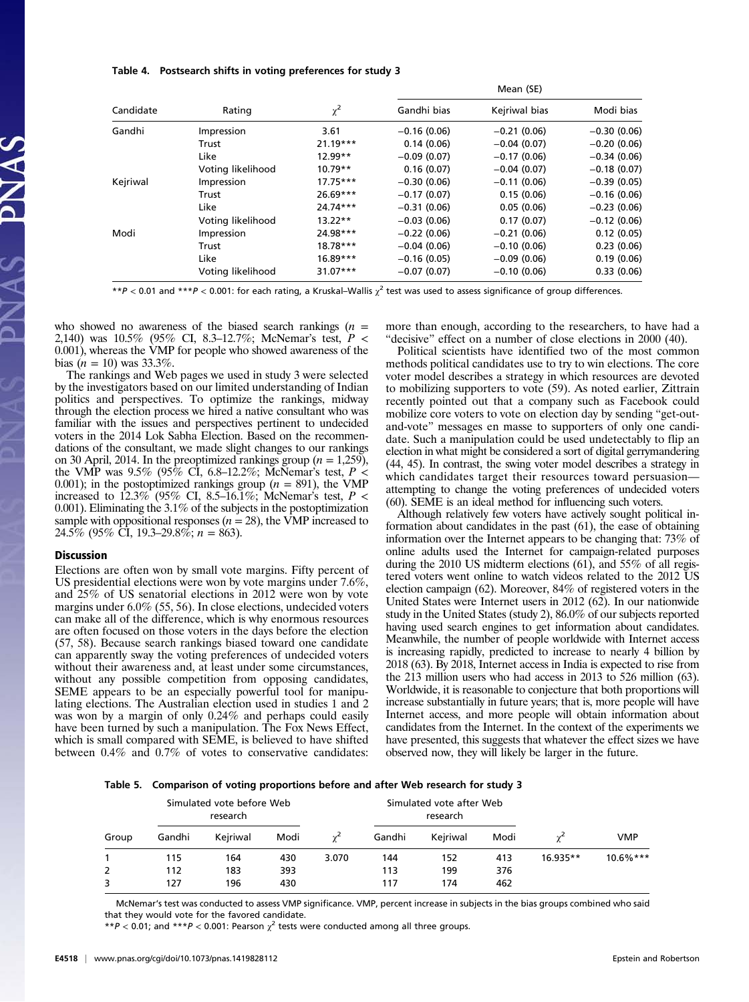Table 4. Postsearch shifts in voting preferences for study 3

|           |                   |            |               | Mean (SE)     |               |  |
|-----------|-------------------|------------|---------------|---------------|---------------|--|
| Candidate | Rating            | $\chi^2$   | Gandhi bias   | Kejriwal bias | Modi bias     |  |
| Gandhi    | Impression        | 3.61       | $-0.16(0.06)$ | $-0.21(0.06)$ | $-0.30(0.06)$ |  |
|           | Trust             | $21.19***$ | 0.14(0.06)    | $-0.04(0.07)$ | $-0.20(0.06)$ |  |
|           | Like              | $12.99**$  | $-0.09(0.07)$ | $-0.17(0.06)$ | $-0.34(0.06)$ |  |
|           | Voting likelihood | $10.79**$  | 0.16(0.07)    | $-0.04(0.07)$ | $-0.18(0.07)$ |  |
| Kejriwal  | Impression        | $17.75***$ | $-0.30(0.06)$ | $-0.11(0.06)$ | $-0.39(0.05)$ |  |
|           | Trust             | 26.69***   | $-0.17(0.07)$ | 0.15(0.06)    | $-0.16(0.06)$ |  |
|           | Like              | 24.74***   | $-0.31(0.06)$ | 0.05(0.06)    | $-0.23(0.06)$ |  |
|           | Voting likelihood | $13.22**$  | $-0.03(0.06)$ | 0.17(0.07)    | $-0.12(0.06)$ |  |
| Modi      | Impression        | 24.98***   | $-0.22(0.06)$ | $-0.21(0.06)$ | 0.12(0.05)    |  |
|           | Trust             | 18.78***   | $-0.04(0.06)$ | $-0.10(0.06)$ | 0.23(0.06)    |  |
|           | Like              | $16.89***$ | $-0.16(0.05)$ | $-0.09(0.06)$ | 0.19(0.06)    |  |
|           | Voting likelihood | $31.07***$ | $-0.07(0.07)$ | $-0.10(0.06)$ | 0.33(0.06)    |  |

\*\*P < 0.01 and \*\*\*P < 0.001: for each rating, a Kruskal–Wallis  $\chi^2$  test was used to assess significance of group differences.

who showed no awareness of the biased search rankings  $(n =$ 2,140) was 10.5% (95% CI, 8.3–12.7%; McNemar's test, P < 0.001), whereas the VMP for people who showed awareness of the bias ( $n = 10$ ) was 33.3%.

The rankings and Web pages we used in study 3 were selected by the investigators based on our limited understanding of Indian politics and perspectives. To optimize the rankings, midway through the election process we hired a native consultant who was familiar with the issues and perspectives pertinent to undecided voters in the 2014 Lok Sabha Election. Based on the recommendations of the consultant, we made slight changes to our rankings on 30 April, 2014. In the preoptimized rankings group ( $n = 1,259$ ), the VMP was 9.5% (95% CI, 6.8–12.2%; McNemar's test,  $P <$ 0.001); in the postoptimized rankings group ( $n = 891$ ), the VMP increased to 12.3% (95% CI, 8.5–16.1%; McNemar's test,  $P \lt \theta$ 0.001). Eliminating the 3.1% of the subjects in the postoptimization sample with oppositional responses ( $n = 28$ ), the VMP increased to 24.5% (95% CI, 19.3–29.8%;  $n = 863$ ).

#### Discussion

Elections are often won by small vote margins. Fifty percent of US presidential elections were won by vote margins under 7.6%, and 25% of US senatorial elections in 2012 were won by vote margins under 6.0% (55, 56). In close elections, undecided voters can make all of the difference, which is why enormous resources are often focused on those voters in the days before the election (57, 58). Because search rankings biased toward one candidate can apparently sway the voting preferences of undecided voters without their awareness and, at least under some circumstances, without any possible competition from opposing candidates, SEME appears to be an especially powerful tool for manipulating elections. The Australian election used in studies 1 and 2 was won by a margin of only 0.24% and perhaps could easily have been turned by such a manipulation. The Fox News Effect, which is small compared with SEME, is believed to have shifted between 0.4% and 0.7% of votes to conservative candidates:

more than enough, according to the researchers, to have had a "decisive" effect on a number of close elections in 2000 (40).

Political scientists have identified two of the most common methods political candidates use to try to win elections. The core voter model describes a strategy in which resources are devoted to mobilizing supporters to vote (59). As noted earlier, Zittrain recently pointed out that a company such as Facebook could mobilize core voters to vote on election day by sending "get-outand-vote" messages en masse to supporters of only one candidate. Such a manipulation could be used undetectably to flip an election in what might be considered a sort of digital gerrymandering (44, 45). In contrast, the swing voter model describes a strategy in which candidates target their resources toward persuasion attempting to change the voting preferences of undecided voters (60). SEME is an ideal method for influencing such voters.

Although relatively few voters have actively sought political information about candidates in the past (61), the ease of obtaining information over the Internet appears to be changing that: 73% of online adults used the Internet for campaign-related purposes during the 2010 US midterm elections (61), and 55% of all registered voters went online to watch videos related to the 2012 US election campaign (62). Moreover, 84% of registered voters in the United States were Internet users in 2012 (62). In our nationwide study in the United States (study 2), 86.0% of our subjects reported having used search engines to get information about candidates. Meanwhile, the number of people worldwide with Internet access is increasing rapidly, predicted to increase to nearly 4 billion by 2018 (63). By 2018, Internet access in India is expected to rise from the 213 million users who had access in 2013 to 526 million (63). Worldwide, it is reasonable to conjecture that both proportions will increase substantially in future years; that is, more people will have Internet access, and more people will obtain information about candidates from the Internet. In the context of the experiments we have presented, this suggests that whatever the effect sizes we have observed now, they will likely be larger in the future.

Table 5. Comparison of voting proportions before and after Web research for study 3

|       |        | Simulated vote before Web<br>research |      |       | Simulated vote after Web<br>research |          |      |          |             |
|-------|--------|---------------------------------------|------|-------|--------------------------------------|----------|------|----------|-------------|
| Group | Gandhi | Kejriwal                              | Modi |       | Gandhi                               | Keiriwal | Modi |          | <b>VMP</b>  |
|       | 115    | 164                                   | 430  | 3.070 | 144                                  | 152      | 413  | 16.935** | $10.6\%***$ |
| 2     | 112    | 183                                   | 393  |       | 113                                  | 199      | 376  |          |             |
| 3     | 127    | 196                                   | 430  |       | 117                                  | 174      | 462  |          |             |

McNemar's test was conducted to assess VMP significance. VMP, percent increase in subjects in the bias groups combined who said that they would vote for the favored candidate.

\*\*P < 0.01; and \*\*\*P < 0.001: Pearson  $\chi^2$  tests were conducted among all three groups.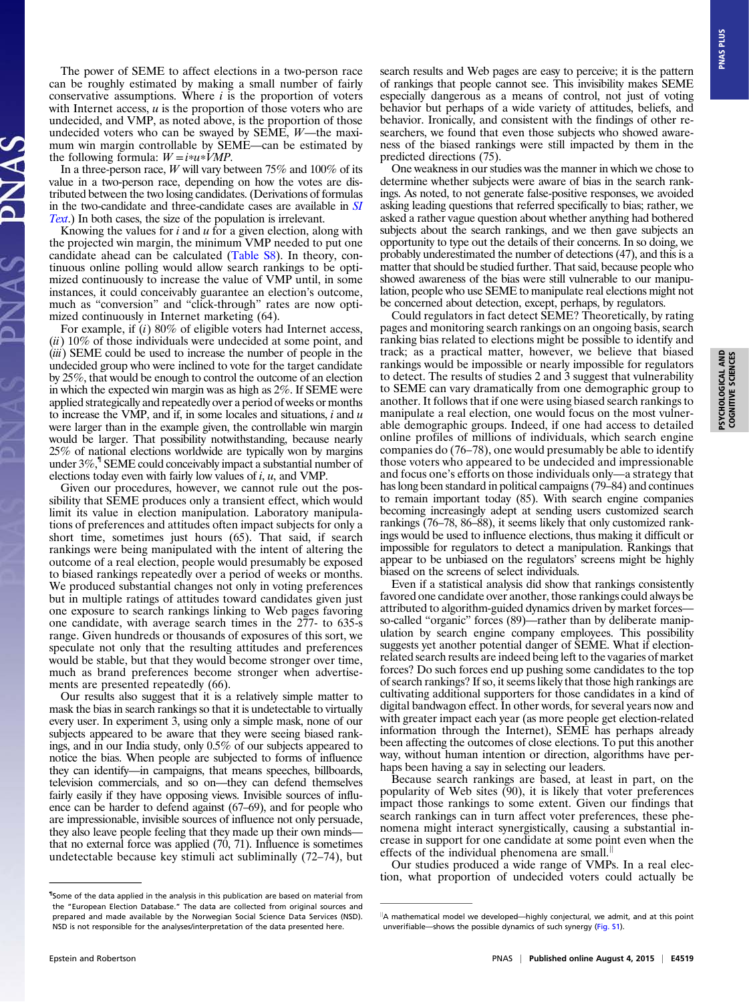The power of SEME to affect elections in a two-person race can be roughly estimated by making a small number of fairly conservative assumptions. Where  $i$  is the proportion of voters with Internet access,  $u$  is the proportion of those voters who are undecided, and VMP, as noted above, is the proportion of those undecided voters who can be swayed by  $SEME$ ,  $W$ —the maximum win margin controllable by SEME—can be estimated by the following formula:  $W = i * u * VMP$ .

In a three-person race,  $W$  will vary between 75% and 100% of its value in a two-person race, depending on how the votes are distributed between the two losing candidates. (Derivations of formulas in the two-candidate and three-candidate cases are available in [SI](http://www.pnas.org/lookup/suppl/doi:10.1073/pnas.1419828112/-/DCSupplemental/pnas.201419828SI.pdf?targetid=nameddest=STXT) [Text](http://www.pnas.org/lookup/suppl/doi:10.1073/pnas.1419828112/-/DCSupplemental/pnas.201419828SI.pdf?targetid=nameddest=STXT).) In both cases, the size of the population is irrelevant.

Knowing the values for  $i$  and  $u$  for a given election, along with the projected win margin, the minimum VMP needed to put one candidate ahead can be calculated ([Table S8](http://www.pnas.org/lookup/suppl/doi:10.1073/pnas.1419828112/-/DCSupplemental/pnas.201419828SI.pdf?targetid=nameddest=ST8)). In theory, continuous online polling would allow search rankings to be optimized continuously to increase the value of VMP until, in some instances, it could conceivably guarantee an election's outcome, much as "conversion" and "click-through" rates are now optimized continuously in Internet marketing (64).

For example, if (i) 80% of eligible voters had Internet access,  $(ii)$  10% of those individuals were undecided at some point, and (iii) SEME could be used to increase the number of people in the undecided group who were inclined to vote for the target candidate by 25%, that would be enough to control the outcome of an election in which the expected win margin was as high as 2%. If SEME were applied strategically and repeatedly over a period of weeks or months to increase the VMP, and if, in some locales and situations,  $i$  and  $u$ were larger than in the example given, the controllable win margin would be larger. That possibility notwithstanding, because nearly 25% of national elections worldwide are typically won by margins under  $3\%$ , SEME could conceivably impact a substantial number of elections today even with fairly low values of  $i, u$ , and VMP.

Given our procedures, however, we cannot rule out the possibility that SEME produces only a transient effect, which would limit its value in election manipulation. Laboratory manipulations of preferences and attitudes often impact subjects for only a short time, sometimes just hours (65). That said, if search rankings were being manipulated with the intent of altering the outcome of a real election, people would presumably be exposed to biased rankings repeatedly over a period of weeks or months. We produced substantial changes not only in voting preferences but in multiple ratings of attitudes toward candidates given just one exposure to search rankings linking to Web pages favoring one candidate, with average search times in the 277- to 635-s range. Given hundreds or thousands of exposures of this sort, we speculate not only that the resulting attitudes and preferences would be stable, but that they would become stronger over time, much as brand preferences become stronger when advertisements are presented repeatedly (66).

Our results also suggest that it is a relatively simple matter to mask the bias in search rankings so that it is undetectable to virtually every user. In experiment 3, using only a simple mask, none of our subjects appeared to be aware that they were seeing biased rankings, and in our India study, only 0.5% of our subjects appeared to notice the bias. When people are subjected to forms of influence they can identify—in campaigns, that means speeches, billboards, television commercials, and so on—they can defend themselves fairly easily if they have opposing views. Invisible sources of influence can be harder to defend against (67–69), and for people who are impressionable, invisible sources of influence not only persuade, they also leave people feeling that they made up their own minds that no external force was applied (70, 71). Influence is sometimes undetectable because key stimuli act subliminally (72–74), but search results and Web pages are easy to perceive; it is the pattern of rankings that people cannot see. This invisibility makes SEME especially dangerous as a means of control, not just of voting behavior but perhaps of a wide variety of attitudes, beliefs, and behavior. Ironically, and consistent with the findings of other researchers, we found that even those subjects who showed awareness of the biased rankings were still impacted by them in the predicted directions (75).

One weakness in our studies was the manner in which we chose to determine whether subjects were aware of bias in the search rankings. As noted, to not generate false-positive responses, we avoided asking leading questions that referred specifically to bias; rather, we asked a rather vague question about whether anything had bothered subjects about the search rankings, and we then gave subjects an opportunity to type out the details of their concerns. In so doing, we probably underestimated the number of detections (47), and this is a matter that should be studied further. That said, because people who showed awareness of the bias were still vulnerable to our manipulation, people who use SEME to manipulate real elections might not be concerned about detection, except, perhaps, by regulators.

Could regulators in fact detect SEME? Theoretically, by rating pages and monitoring search rankings on an ongoing basis, search ranking bias related to elections might be possible to identify and track; as a practical matter, however, we believe that biased rankings would be impossible or nearly impossible for regulators to detect. The results of studies 2 and 3 suggest that vulnerability to SEME can vary dramatically from one demographic group to another. It follows that if one were using biased search rankings to manipulate a real election, one would focus on the most vulnerable demographic groups. Indeed, if one had access to detailed online profiles of millions of individuals, which search engine companies do (76–78), one would presumably be able to identify those voters who appeared to be undecided and impressionable and focus one's efforts on those individuals only—a strategy that has long been standard in political campaigns (79–84) and continues to remain important today (85). With search engine companies becoming increasingly adept at sending users customized search rankings (76–78, 86–88), it seems likely that only customized rankings would be used to influence elections, thus making it difficult or impossible for regulators to detect a manipulation. Rankings that appear to be unbiased on the regulators' screens might be highly biased on the screens of select individuals.

Even if a statistical analysis did show that rankings consistently favored one candidate over another, those rankings could always be attributed to algorithm-guided dynamics driven by market forces so-called "organic" forces (89)—rather than by deliberate manipulation by search engine company employees. This possibility suggests yet another potential danger of SEME. What if electionrelated search results are indeed being left to the vagaries of market forces? Do such forces end up pushing some candidates to the top of search rankings? If so, it seems likely that those high rankings are cultivating additional supporters for those candidates in a kind of digital bandwagon effect. In other words, for several years now and with greater impact each year (as more people get election-related information through the Internet), SEME has perhaps already been affecting the outcomes of close elections. To put this another way, without human intention or direction, algorithms have perhaps been having a say in selecting our leaders.

Because search rankings are based, at least in part, on the popularity of Web sites  $(90)$ , it is likely that voter preferences impact those rankings to some extent. Given our findings that search rankings can in turn affect voter preferences, these phenomena might interact synergistically, causing a substantial increase in support for one candidate at some point even when the effects of the individual phenomena are small.<sup>||</sup>

Our studies produced a wide range of VMPs. In a real election, what proportion of undecided voters could actually be

<sup>¶</sup> Some of the data applied in the analysis in this publication are based on material from the "European Election Database." The data are collected from original sources and prepared and made available by the Norwegian Social Science Data Services (NSD). NSD is not responsible for the analyses/interpretation of the data presented here.

 $\mathbb{I}$ A mathematical model we developed—highly conjectural, we admit, and at this point unverifiable—shows the possible dynamics of such synergy [\(Fig. S1](http://www.pnas.org/lookup/suppl/doi:10.1073/pnas.1419828112/-/DCSupplemental/pnas.201419828SI.pdf?targetid=nameddest=SF1)).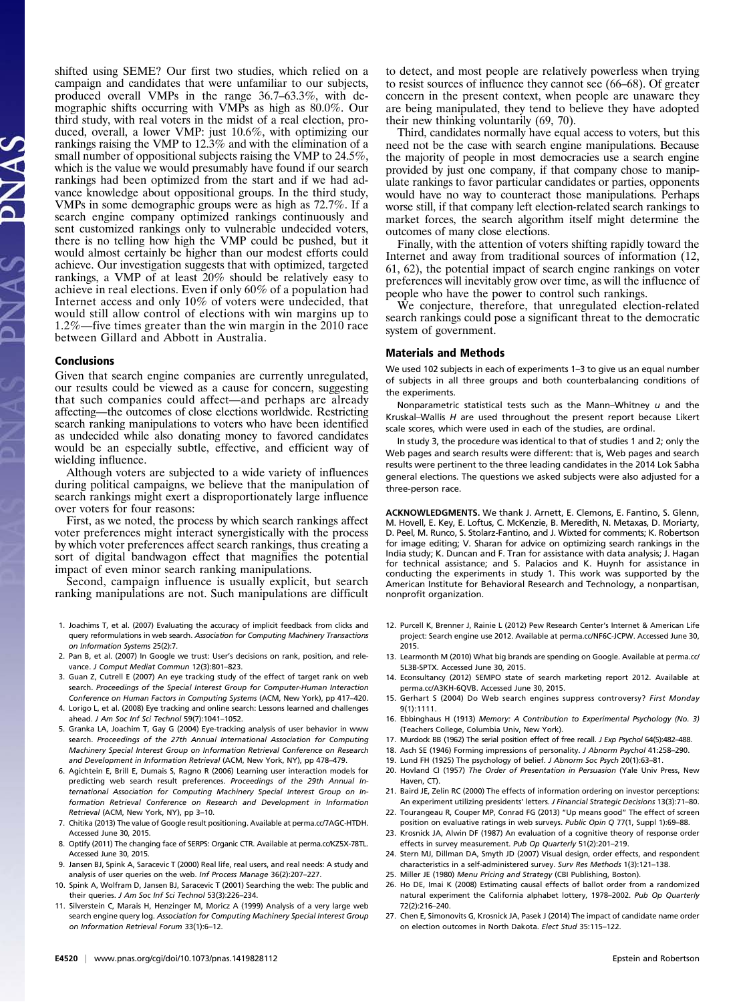shifted using SEME? Our first two studies, which relied on a campaign and candidates that were unfamiliar to our subjects, produced overall VMPs in the range 36.7–63.3%, with demographic shifts occurring with VMPs as high as 80.0%. Our third study, with real voters in the midst of a real election, produced, overall, a lower VMP: just 10.6%, with optimizing our rankings raising the VMP to 12.3% and with the elimination of a small number of oppositional subjects raising the VMP to 24.5%, which is the value we would presumably have found if our search rankings had been optimized from the start and if we had advance knowledge about oppositional groups. In the third study, VMPs in some demographic groups were as high as 72.7%. If a search engine company optimized rankings continuously and sent customized rankings only to vulnerable undecided voters, there is no telling how high the VMP could be pushed, but it would almost certainly be higher than our modest efforts could achieve. Our investigation suggests that with optimized, targeted rankings, a VMP of at least 20% should be relatively easy to achieve in real elections. Even if only 60% of a population had Internet access and only 10% of voters were undecided, that would still allow control of elections with win margins up to 1.2%—five times greater than the win margin in the 2010 race between Gillard and Abbott in Australia.

#### Conclusions

Given that search engine companies are currently unregulated, our results could be viewed as a cause for concern, suggesting that such companies could affect—and perhaps are already affecting—the outcomes of close elections worldwide. Restricting search ranking manipulations to voters who have been identified as undecided while also donating money to favored candidates would be an especially subtle, effective, and efficient way of wielding influence.

Although voters are subjected to a wide variety of influences during political campaigns, we believe that the manipulation of search rankings might exert a disproportionately large influence over voters for four reasons:

First, as we noted, the process by which search rankings affect voter preferences might interact synergistically with the process by which voter preferences affect search rankings, thus creating a sort of digital bandwagon effect that magnifies the potential impact of even minor search ranking manipulations.

Second, campaign influence is usually explicit, but search ranking manipulations are not. Such manipulations are difficult

- 1. Joachims T, et al. (2007) Evaluating the accuracy of implicit feedback from clicks and query reformulations in web search. Association for Computing Machinery Transactions on Information Systems 25(2):7.
- 2. Pan B, et al. (2007) In Google we trust: User's decisions on rank, position, and relevance. J Comput Mediat Commun 12(3):801–823.
- 3. Guan Z, Cutrell E (2007) An eye tracking study of the effect of target rank on web search. Proceedings of the Special Interest Group for Computer-Human Interaction Conference on Human Factors in Computing Systems (ACM, New York), pp 417–420.
- 4. Lorigo L, et al. (2008) Eye tracking and online search: Lessons learned and challenges ahead. J Am Soc Inf Sci Technol 59(7):1041–1052.
- 5. Granka LA, Joachim T, Gay G (2004) Eye-tracking analysis of user behavior in www search. Proceedings of the 27th Annual International Association for Computing Machinery Special Interest Group on Information Retrieval Conference on Research and Development in Information Retrieval (ACM, New York, NY), pp 478–479.
- 6. Agichtein E, Brill E, Dumais S, Ragno R (2006) Learning user interaction models for predicting web search result preferences. Proceedings of the 29th Annual International Association for Computing Machinery Special Interest Group on Information Retrieval Conference on Research and Development in Information Retrieval (ACM, New York, NY), pp 3–10.
- 7. Chitika (2013) The value of Google result positioning. Available at [perma.cc/7AGC-HTDH](http://perma.cc/7AGC-HTDH). Accessed June 30, 2015.
- 8. Optify (2011) The changing face of SERPS: Organic CTR. Available at [perma.cc/KZ5X-78TL](http://perma.cc/KZ5X-78TL). Accessed June 30, 2015.
- 9. Jansen BJ, Spink A, Saracevic T (2000) Real life, real users, and real needs: A study and analysis of user queries on the web. Inf Process Manage 36(2):207–227.
- 10. Spink A, Wolfram D, Jansen BJ, Saracevic T (2001) Searching the web: The public and their queries. J Am Soc Inf Sci Technol 53(3):226–234.
- 11. Silverstein C, Marais H, Henzinger M, Moricz A (1999) Analysis of a very large web search engine query log. Association for Computing Machinery Special Interest Group on Information Retrieval Forum 33(1):6–12.

to detect, and most people are relatively powerless when trying to resist sources of influence they cannot see (66–68). Of greater concern in the present context, when people are unaware they are being manipulated, they tend to believe they have adopted their new thinking voluntarily (69, 70).

Third, candidates normally have equal access to voters, but this need not be the case with search engine manipulations. Because the majority of people in most democracies use a search engine provided by just one company, if that company chose to manipulate rankings to favor particular candidates or parties, opponents would have no way to counteract those manipulations. Perhaps worse still, if that company left election-related search rankings to market forces, the search algorithm itself might determine the outcomes of many close elections.

Finally, with the attention of voters shifting rapidly toward the Internet and away from traditional sources of information (12, 61, 62), the potential impact of search engine rankings on voter preferences will inevitably grow over time, as will the influence of people who have the power to control such rankings.

We conjecture, therefore, that unregulated election-related search rankings could pose a significant threat to the democratic system of government.

#### Materials and Methods

We used 102 subjects in each of experiments 1–3 to give us an equal number of subjects in all three groups and both counterbalancing conditions of the experiments.

Nonparametric statistical tests such as the Mann–Whitney  $u$  and the Kruskal–Wallis H are used throughout the present report because Likert scale scores, which were used in each of the studies, are ordinal.

In study 3, the procedure was identical to that of studies 1 and 2; only the Web pages and search results were different: that is, Web pages and search results were pertinent to the three leading candidates in the 2014 Lok Sabha general elections. The questions we asked subjects were also adjusted for a three-person race.

ACKNOWLEDGMENTS. We thank J. Arnett, E. Clemons, E. Fantino, S. Glenn, M. Hovell, E. Key, E. Loftus, C. McKenzie, B. Meredith, N. Metaxas, D. Moriarty, D. Peel, M. Runco, S. Stolarz-Fantino, and J. Wixted for comments; K. Robertson for image editing; V. Sharan for advice on optimizing search rankings in the India study; K. Duncan and F. Tran for assistance with data analysis; J. Hagan for technical assistance; and S. Palacios and K. Huynh for assistance in conducting the experiments in study 1. This work was supported by the American Institute for Behavioral Research and Technology, a nonpartisan, nonprofit organization.

- 12. Purcell K, Brenner J, Rainie L (2012) Pew Research Center's Internet & American Life project: Search engine use 2012. Available at [perma.cc/NF6C-JCPW.](http://perma.cc/NF6C-JCPW) Accessed June 30, 2015.
- 13. Learmonth M (2010) What big brands are spending on Google. Available at [perma.cc/](http://perma.cc/5L3B-SPTX) [5L3B-SPTX](http://perma.cc/5L3B-SPTX). Accessed June 30, 2015.
- 14. Econsultancy (2012) SEMPO state of search marketing report 2012. Available at [perma.cc/A3KH-6QVB](http://perma.cc/A3KH-6QVB). Accessed June 30, 2015.
- 15. Gerhart S (2004) Do Web search engines suppress controversy? First Monday 9(1):1111.
- 16. Ebbinghaus H (1913) Memory: A Contribution to Experimental Psychology (No. 3) (Teachers College, Columbia Univ, New York).
- 17. Murdock BB (1962) The serial position effect of free recall. J Exp Psychol 64(5):482-488.
- 18. Asch SE (1946) Forming impressions of personality. J Abnorm Psychol 41:258–290.
- 19. Lund FH (1925) The psychology of belief. J Abnorm Soc Psych 20(1):63–81.
- 20. Hovland CI (1957) The Order of Presentation in Persuasion (Yale Univ Press, New Haven, CT).
- 21. Baird JE, Zelin RC (2000) The effects of information ordering on investor perceptions: An experiment utilizing presidents' letters. J Financial Strategic Decisions 13(3):71–80.
- 22. Tourangeau R, Couper MP, Conrad FG (2013) "Up means good" The effect of screen position on evaluative ratings in web surveys. Public Opin Q 77(1, Suppl 1):69–88.
- 23. Krosnick JA, Alwin DF (1987) An evaluation of a cognitive theory of response order effects in survey measurement. Pub Op Quarterly 51(2):201-219.
- 24. Stern MJ, Dillman DA, Smyth JD (2007) Visual design, order effects, and respondent characteristics in a self-administered survey. Surv Res Methods 1(3):121–138.
- 25. Miller JE (1980) Menu Pricing and Strategy (CBI Publishing, Boston).
- 26. Ho DE, Imai K (2008) Estimating causal effects of ballot order from a randomized natural experiment the California alphabet lottery, 1978–2002. Pub Op Quarterly 72(2):216–240.
- 27. Chen E, Simonovits G, Krosnick JA, Pasek J (2014) The impact of candidate name order on election outcomes in North Dakota. Elect Stud 35:115–122.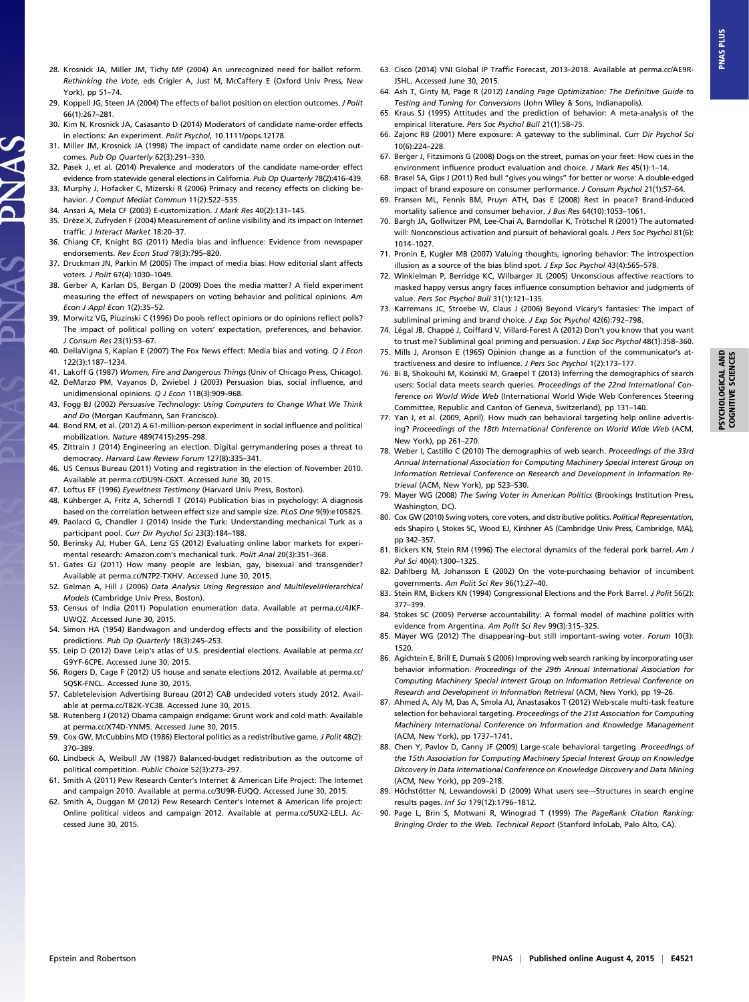PSYCHOLOGICAL AND COGNITIVE SCIENCES

PSYCHOLOGICAL AND<br>COGNITIVE SCIENCES

- 28. Krosnick JA, Miller JM, Tichy MP (2004) An unrecognized need for ballot reform. Rethinking the Vote, eds Crigler A, Just M, McCaffery E (Oxford Univ Press, New York), pp 51–74.
- 29. Koppell JG, Steen JA (2004) The effects of ballot position on election outcomes. J Polit 66(1):267–281.
- 30. Kim N, Krosnick JA, Casasanto D (2014) Moderators of candidate name-order effects in elections: An experiment. Polit Psychol, 10.1111/pops.12178.
- 31. Miller JM, Krosnick JA (1998) The impact of candidate name order on election outcomes. Pub Op Quarterly 62(3):291–330.
- 32. Pasek J, et al. (2014) Prevalence and moderators of the candidate name-order effect evidence from statewide general elections in California. Pub Op Quarterly 78(2):416–439.
- 33. Murphy J, Hofacker C, Mizerski R (2006) Primacy and recency effects on clicking behavior. J Comput Mediat Commun 11(2):522–535.
- 34. Ansari A, Mela CF (2003) E-customization. J Mark Res 40(2):131-145.
- 35. Drèze X, Zufryden F (2004) Measurement of online visibility and its impact on Internet traffic. J Interact Market 18:20–37.
- 36. Chiang CF, Knight BG (2011) Media bias and influence: Evidence from newspaper endorsements. Rev Econ Stud 78(3):795–820.
- 37. Druckman JN, Parkin M (2005) The impact of media bias: How editorial slant affects voters. J Polit 67(4):1030–1049.
- 38. Gerber A, Karlan DS, Bergan D (2009) Does the media matter? A field experiment measuring the effect of newspapers on voting behavior and political opinions. Am Econ J Appl Econ 1(2):35–52.
- 39. Morwitz VG, Pluzinski C (1996) Do pools reflect opinions or do opinions reflect polls? The impact of political polling on voters' expectation, preferences, and behavior. J Consum Res 23(1):53–67.
- 40. DellaVigna S, Kaplan E (2007) The Fox News effect: Media bias and voting. Q J Econ 122(3):1187–1234.
- 41. Lakoff G (1987) Women, Fire and Dangerous Things (Univ of Chicago Press, Chicago). 42. DeMarzo PM, Vayanos D, Zwiebel J (2003) Persuasion bias, social influence, and unidimensional opinions. Q J Econ 118(3):909–968.
- 43. Fogg BJ (2002) Persuasive Technology: Using Computers to Change What We Think and Do (Morgan Kaufmann, San Francisco).
- 44. Bond RM, et al. (2012) A 61-million-person experiment in social influence and political mobilization. Nature 489(7415):295–298.
- 45. Zittrain J (2014) Engineering an election. Digital gerrymandering poses a threat to democracy. Harvard Law Review Forum 127(8):335–341.
- 46. US Census Bureau (2011) Voting and registration in the election of November 2010. Available at [perma.cc/DU9N-C6XT](http://perma.cc/DU9N-C6XT). Accessed June 30, 2015.
- 47. Loftus EF (1996) Eyewitness Testimony (Harvard Univ Press, Boston).
- 48. Kühberger A, Fritz A, Scherndl T (2014) Publication bias in psychology: A diagnosis based on the correlation between effect size and sample size. PLoS One 9(9):e105825.
- 49. Paolacci G, Chandler J (2014) Inside the Turk: Understanding mechanical Turk as a participant pool. Curr Dir Psychol Sci 23(3):184–188.
- 50. Berinsky AJ, Huber GA, Lenz GS (2012) Evaluating online labor markets for experimental research: Amazon.com's mechanical turk. Polit Anal 20(3):351–368.
- 51. Gates GJ (2011) How many people are lesbian, gay, bisexual and transgender? Available at [perma.cc/N7P2-TXHV.](http://perma.cc/N7P2-TXHV) Accessed June 30, 2015.
- 52. Gelman A, Hill J (2006) Data Analysis Using Regression and Multilevel/Hierarchical Models (Cambridge Univ Press, Boston).
- 53. Census of India (2011) Population enumeration data. Available at [perma.cc/4JKF-](http://perma.cc/4JKF-UWQZ)[UWQZ.](http://perma.cc/4JKF-UWQZ) Accessed June 30, 2015.
- 54. Simon HA (1954) Bandwagon and underdog effects and the possibility of election predictions. Pub Op Quarterly 18(3):245–253.
- 55. Leip D (2012) Dave Leip's atlas of U.S. presidential elections. Available at [perma.cc/](http://perma.cc/G9YF-6CPE) [G9YF-6CPE](http://perma.cc/G9YF-6CPE). Accessed June 30, 2015.
- 56. Rogers D, Cage F (2012) US house and senate elections 2012. Available at [perma.cc/](http://perma.cc/5QSK-FNCL) [5QSK-FNCL](http://perma.cc/5QSK-FNCL). Accessed June 30, 2015.
- 57. Cabletelevision Advertising Bureau (2012) CAB undecided voters study 2012. Available at [perma.cc/T82K-YC38](http://perma.cc/T82K-YC38). Accessed June 30, 2015.
- 58. Rutenberg J (2012) Obama campaign endgame: Grunt work and cold math. Available at [perma.cc/X74D-YNM5](http://perma.cc/X74D-YNM5). Accessed June 30, 2015.
- 59. Cox GW, McCubbins MD (1986) Electoral politics as a redistributive game. J Polit 48(2): 370–389.
- 60. Lindbeck A, Weibull JW (1987) Balanced-budget redistribution as the outcome of political competition. Public Choice 52(3):273–297.
- 61. Smith A (2011) Pew Research Center's Internet & American Life Project: The Internet and campaign 2010. Available at [perma.cc/3U9R-EUQQ](http://perma.cc/3U9R-EUQQ). Accessed June 30, 2015.
- 62. Smith A, Duggan M (2012) Pew Research Center's Internet & American life project: Online political videos and campaign 2012. Available at [perma.cc/5UX2-LELJ.](http://perma.cc/5UX2-LELJ) Accessed June 30, 2015.
- 63. Cisco (2014) VNI Global IP Traffic Forecast, 2013–2018. Available at [perma.cc/AE9R-](http://perma.cc/AE9R-JSHL)[JSHL.](http://perma.cc/AE9R-JSHL) Accessed June 30, 2015.
- 64. Ash T, Ginty M, Page R (2012) Landing Page Optimization: The Definitive Guide to Testing and Tuning for Conversions (John Wiley & Sons, Indianapolis).
- 65. Kraus SJ (1995) Attitudes and the prediction of behavior: A meta-analysis of the empirical literature. Pers Soc Psychol Bull 21(1):58–75.
- 66. Zajonc RB (2001) Mere exposure: A gateway to the subliminal. Curr Dir Psychol Sci 10(6):224–228.
- 67. Berger J, Fitzsimons G (2008) Dogs on the street, pumas on your feet: How cues in the environment influence product evaluation and choice. J Mark Res 45(1):1–14.
- 68. Brasel SA, Gips J (2011) Red bull "gives you wings" for better or worse: A double-edged impact of brand exposure on consumer performance. J Consum Psychol 21(1):57–64.
- 69. Fransen ML, Fennis BM, Pruyn ATH, Das E (2008) Rest in peace? Brand-induced mortality salience and consumer behavior. J Bus Res 64(10):1053–1061.
- 70. Bargh JA, Gollwitzer PM, Lee-Chai A, Barndollar K, Trötschel R (2001) The automated will: Nonconscious activation and pursuit of behavioral goals. J Pers Soc Psychol 81(6): 1014–1027.
- 71. Pronin E, Kugler MB (2007) Valuing thoughts, ignoring behavior: The introspection illusion as a source of the bias blind spot. J Exp Soc Psychol 43(4):565-578.
- 72. Winkielman P, Berridge KC, Wilbarger JL (2005) Unconscious affective reactions to masked happy versus angry faces influence consumption behavior and judgments of value. Pers Soc Psychol Bull 31(1):121–135.
- 73. Karremans JC, Stroebe W, Claus J (2006) Beyond Vicary's fantasies: The impact of subliminal priming and brand choice. J Exp Soc Psychol 42(6):792-798.
- 74. Légal JB, Chappé J, Coiffard V, Villard-Forest A (2012) Don't you know that you want to trust me? Subliminal goal priming and persuasion. J Exp Soc Psychol 48(1):358-360.
- 75. Mills J, Aronson E (1965) Opinion change as a function of the communicator's attractiveness and desire to influence. J Pers Soc Psychol 1(2):173–177.
- 76. Bi B, Shokouhi M, Kosinski M, Graepel T (2013) Inferring the demographics of search users: Social data meets search queries. Proceedings of the 22nd International Conference on World Wide Web (International World Wide Web Conferences Steering Committee, Republic and Canton of Geneva, Switzerland), pp 131–140.
- 77. Yan J, et al. (2009, April). How much can behavioral targeting help online advertising? Proceedings of the 18th International Conference on World Wide Web (ACM, New York), pp 261–270.
- 78. Weber I, Castillo C (2010) The demographics of web search. Proceedings of the 33rd Annual International Association for Computing Machinery Special Interest Group on Information Retrieval Conference on Research and Development in Information Retrieval (ACM, New York), pp 523–530.
- 79. Mayer WG (2008) The Swing Voter in American Politics (Brookings Institution Press, Washington, DC).
- 80. Cox GW (2010) Swing voters, core voters, and distributive politics. Political Representation, eds Shapiro I, Stokes SC, Wood EJ, Kirshner AS (Cambridge Univ Press, Cambridge, MA), pp 342–357.
- 81. Bickers KN, Stein RM (1996) The electoral dynamics of the federal pork barrel. Am J Pol Sci 40(4):1300–1325.
- 82. Dahlberg M, Johansson E (2002) On the vote-purchasing behavior of incumbent governments. Am Polit Sci Rev 96(1):27–40.
- 83. Stein RM, Bickers KN (1994) Congressional Elections and the Pork Barrel. J Polit 56(2): 377–399.
- 84. Stokes SC (2005) Perverse accountability: A formal model of machine politics with evidence from Argentina. Am Polit Sci Rev 99(3):315–325.
- 85. Mayer WG (2012) The disappearing–but still important–swing voter. Forum 10(3): 1520.
- 86. Agichtein E, Brill E, Dumais S (2006) Improving web search ranking by incorporating user behavior information. Proceedings of the 29th Annual International Association for Computing Machinery Special Interest Group on Information Retrieval Conference on Research and Development in Information Retrieval (ACM, New York), pp 19–26.
- 87. Ahmed A, Aly M, Das A, Smola AJ, Anastasakos T (2012) Web-scale multi-task feature selection for behavioral targeting. Proceedings of the 21st Association for Computing Machinery International Conference on Information and Knowledge Management (ACM, New York), pp 1737–1741.
- 88. Chen Y, Pavlov D, Canny JF (2009) Large-scale behavioral targeting. Proceedings of the 15th Association for Computing Machinery Special Interest Group on Knowledge Discovery in Data International Conference on Knowledge Discovery and Data Mining (ACM, New York), pp 209–218.
- 89. Höchstötter N, Lewandowski D (2009) What users see—Structures in search engine results pages. Inf Sci 179(12):1796–1812.
- 90. Page L, Brin S, Motwani R, Winograd T (1999) The PageRank Citation Ranking: Bringing Order to the Web. Technical Report (Stanford InfoLab, Palo Alto, CA).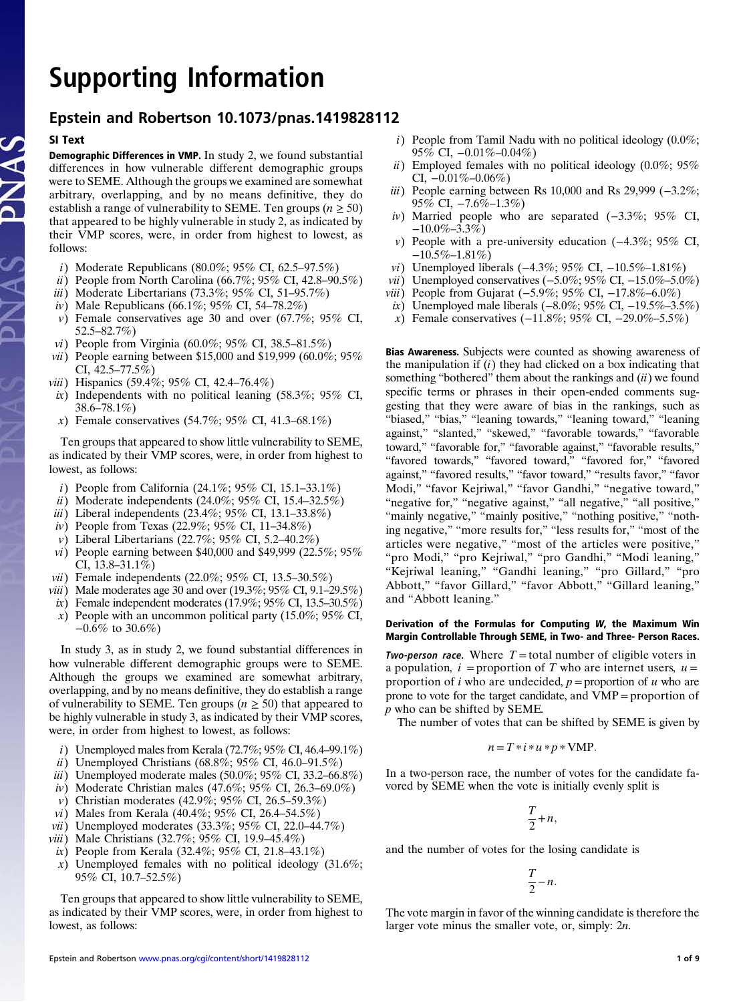# Supporting Information

# Epstein and Robertson 10.1073/pnas.1419828112

#### SI Text

 $\mathbf{A}$ 

Demographic Differences in VMP. In study 2, we found substantial differences in how vulnerable different demographic groups were to SEME. Although the groups we examined are somewhat arbitrary, overlapping, and by no means definitive, they do establish a range of vulnerability to SEME. Ten groups ( $n \geq 50$ ) that appeared to be highly vulnerable in study 2, as indicated by their VMP scores, were, in order from highest to lowest, as follows:

- i) Moderate Republicans (80.0%; 95% CI, 62.5–97.5%)
- ii) People from North Carolina  $(66.7\%; 95\% \text{ CI}, 42.8-90.5\%)$
- iii) Moderate Libertarians (73.3%; 95% CI, 51–95.7%)
- iv) Male Republicans (66.1%; 95% CI, 54–78.2%)
- v) Female conservatives age 30 and over (67.7%; 95% CI, 52.5–82.7%)
- vi) People from Virginia (60.0%; 95% CI, 38.5–81.5%)
- *vii*) People earning between \$15,000 and \$19,999 (60.0%; 95%) CI,  $42.5 - 77.5\%$
- viii) Hispanics (59.4%; 95% CI, 42.4–76.4%)
- ix) Independents with no political leaning  $(58.3\%; 95\% \text{ CI},$ 38.6–78.1%)
- x) Female conservatives  $(54.7\%; 95\% \text{ CI}, 41.3-68.1\%)$

Ten groups that appeared to show little vulnerability to SEME, as indicated by their VMP scores, were, in order from highest to lowest, as follows:

- i) People from California (24.1%; 95% CI, 15.1–33.1%)
- ii) Moderate independents (24.0%; 95% CI, 15.4–32.5%)
- iii) Liberal independents (23.4%; 95% CI, 13.1–33.8%)
- iv) People from Texas (22.9%; 95% CI, 11–34.8%)
- v) Liberal Libertarians (22.7%; 95% CI, 5.2–40.2%)
- *vi*) People earning between \$40,000 and \$49,999 (22.5%; 95%) CI, 13.8–31.1%)
- vii) Female independents (22.0%; 95% CI, 13.5–30.5%)
- *viii*) Male moderates age 30 and over  $(19.3\%; 95\% \text{ CI}, 9.1-29.5\%)$
- ix) Female independent moderates  $(17.9\%; 95\% \text{ CI}, 13.5-30.5\%)$
- x) People with an uncommon political party  $(15.0\%; 95\% \text{ CI},$ −0.6% to 30.6%)

In study 3, as in study 2, we found substantial differences in how vulnerable different demographic groups were to SEME. Although the groups we examined are somewhat arbitrary, overlapping, and by no means definitive, they do establish a range of vulnerability to SEME. Ten groups ( $n \geq 50$ ) that appeared to be highly vulnerable in study 3, as indicated by their VMP scores, were, in order from highest to lowest, as follows:

- i) Unemployed males from Kerala  $(72.7\%; 95\% \text{ CI}, 46.4-99.1\%)$
- ii) Unemployed Christians (68.8%; 95% CI, 46.0–91.5%)
- iii) Unemployed moderate males  $(50.0\%; 95\% \text{ CI}, 33.2-66.8\%)$
- iv) Moderate Christian males (47.6%; 95% CI, 26.3–69.0%)
- v) Christian moderates (42.9%; 95% CI, 26.5–59.3%)
- vi) Males from Kerala (40.4%; 95% CI, 26.4–54.5%)
- vii) Unemployed moderates (33.3%; 95% CI, 22.0–44.7%)
- viii) Male Christians (32.7%; 95% CI, 19.9–45.4%)
- ix) People from Kerala (32.4%; 95% CI, 21.8–43.1%)
- x) Unemployed females with no political ideology (31.6%; 95% CI, 10.7–52.5%)

Ten groups that appeared to show little vulnerability to SEME, as indicated by their VMP scores, were, in order from highest to lowest, as follows:

- i) People from Tamil Nadu with no political ideology  $(0.0\%;$ 95% CI, −0.01%–0.04%)
- $ii)$  Employed females with no political ideology (0.0%; 95%) CI,  $-0.01\%$  –0.06%)
- iii) People earning between Rs 10,000 and Rs 29,999 ( $-3.2\%$ ; 95% CI, −7.6%–1.3%)
- iv) Married people who are separated (−3.3%; 95% CI,  $-10.0\% - 3.3\%$
- v) People with a pre-university education (−4.3%; 95% CI,  $-10.5\% - 1.81\%$
- vi) Unemployed liberals (−4.3%; 95% CI, −10.5%–1.81%)
- *vii*) Unemployed conservatives  $(-5.0\%; 95\% \text{ CI}, -15.0\% -5.0\%)$
- viii) People from Gujarat (−5.9%; 95% CI, −17.8%–6.0%)
- ix) Unemployed male liberals  $(-8.0\%; 95\% \text{ CI}, -19.5\% -3.5\%)$
- x) Female conservatives (−11.8%; 95% CI, −29.0%–5.5%)

Bias Awareness. Subjects were counted as showing awareness of the manipulation if  $(i)$  they had clicked on a box indicating that something "bothered" them about the rankings and  $(ii)$  we found specific terms or phrases in their open-ended comments suggesting that they were aware of bias in the rankings, such as "biased," "bias," "leaning towards," "leaning toward," "leaning against," "slanted," "skewed," "favorable towards," "favorable toward," "favorable for," "favorable against," "favorable results," "favored towards," "favored toward," "favored for," "favored against," "favored results," "favor toward," "results favor," "favor Modi," "favor Kejriwal," "favor Gandhi," "negative toward," "negative for," "negative against," "all negative," "all positive," "mainly negative," "mainly positive," "nothing positive," "nothing negative," "more results for," "less results for," "most of the articles were negative," "most of the articles were positive," "pro Modi," "pro Kejriwal," "pro Gandhi," "Modi leaning," "Kejriwal leaning," "Gandhi leaning," "pro Gillard," "pro Abbott," "favor Gillard," "favor Abbott," "Gillard leaning," and "Abbott leaning."

#### Derivation of the Formulas for Computing W, the Maximum Win Margin Controllable Through SEME, in Two- and Three- Person Races.

**Two-person race.** Where  $T =$  total number of eligible voters in a population,  $i =$ proportion of T who are internet users,  $u =$ proportion of i who are undecided,  $p =$ proportion of u who are prone to vote for the target candidate, and VMP= proportion of p who can be shifted by SEME.

The number of votes that can be shifted by SEME is given by

$$
n = T * i * u * p * VMP.
$$

In a two-person race, the number of votes for the candidate favored by SEME when the vote is initially evenly split is

$$
\frac{T}{2} + n,
$$

and the number of votes for the losing candidate is

$$
\frac{T}{2}-n.
$$

The vote margin in favor of the winning candidate is therefore the larger vote minus the smaller vote, or, simply: 2n.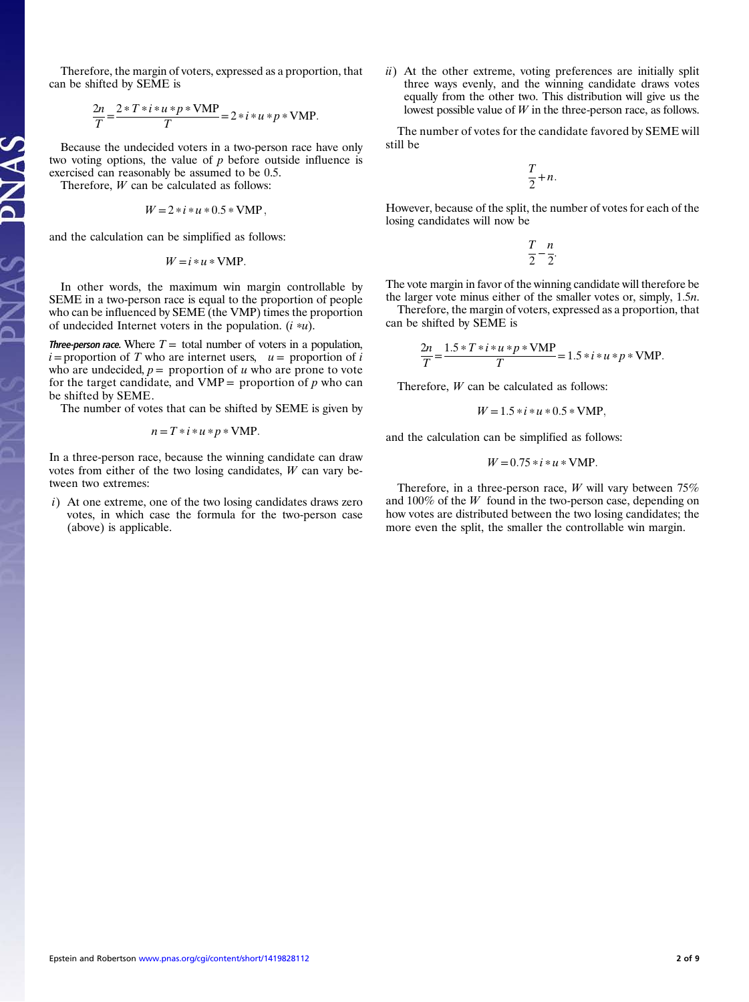Therefore, the margin of voters, expressed as a proportion, that can be shifted by SEME is

$$
\frac{2n}{T} = \frac{2 \cdot T \cdot i \cdot u \cdot p \cdot \text{VMP}}{T} = 2 \cdot i \cdot u \cdot p \cdot \text{VMP}.
$$

Because the undecided voters in a two-person race have only two voting options, the value of  $p$  before outside influence is exercised can reasonably be assumed to be 0.5.

Therefore,  $W$  can be calculated as follows:

$$
W = 2 * i * u * 0.5 * VMP,
$$

and the calculation can be simplified as follows:

DN AS

$$
W = i * u * VMP.
$$

In other words, the maximum win margin controllable by SEME in a two-person race is equal to the proportion of people who can be influenced by SEME (the VMP) times the proportion of undecided Internet voters in the population.  $(i *u)$ .

**Three-person race.** Where  $T =$  total number of voters in a population,  $i=$  proportion of T who are internet users,  $u=$  proportion of i who are undecided,  $p =$  proportion of u who are prone to vote for the target candidate, and  $VMP =$  proportion of  $p$  who can be shifted by SEME.

The number of votes that can be shifted by SEME is given by

$$
n = T * i * u * p * VMP.
$$

In a three-person race, because the winning candidate can draw votes from either of the two losing candidates,  $W$  can vary between two extremes:

 $i)$  At one extreme, one of the two losing candidates draws zero votes, in which case the formula for the two-person case (above) is applicable.

 $ii)$  At the other extreme, voting preferences are initially split three ways evenly, and the winning candidate draws votes equally from the other two. This distribution will give us the lowest possible value of W in the three-person race, as follows.

The number of votes for the candidate favored by SEME will still be

$$
\frac{T}{2}+n.
$$

However, because of the split, the number of votes for each of the losing candidates will now be

$$
\frac{T}{2} - \frac{n}{2}
$$

The vote margin in favor of the winning candidate will therefore be the larger vote minus either of the smaller votes or, simply, 1:5n.

Therefore, the margin of voters, expressed as a proportion, that can be shifted by SEME is

$$
\frac{2n}{T} = \frac{1.5 * T * i * u * p * VMP}{T} = 1.5 * i * u * p * VMP.
$$

Therefore, W can be calculated as follows:

 $W = 1.5 * i * u * 0.5 * VMP$ ;

and the calculation can be simplified as follows:

 $W = 0.75 * i * u * VMP.$ 

Therefore, in a three-person race,  $W$  will vary between 75% and 100% of the W found in the two-person case, depending on how votes are distributed between the two losing candidates; the more even the split, the smaller the controllable win margin.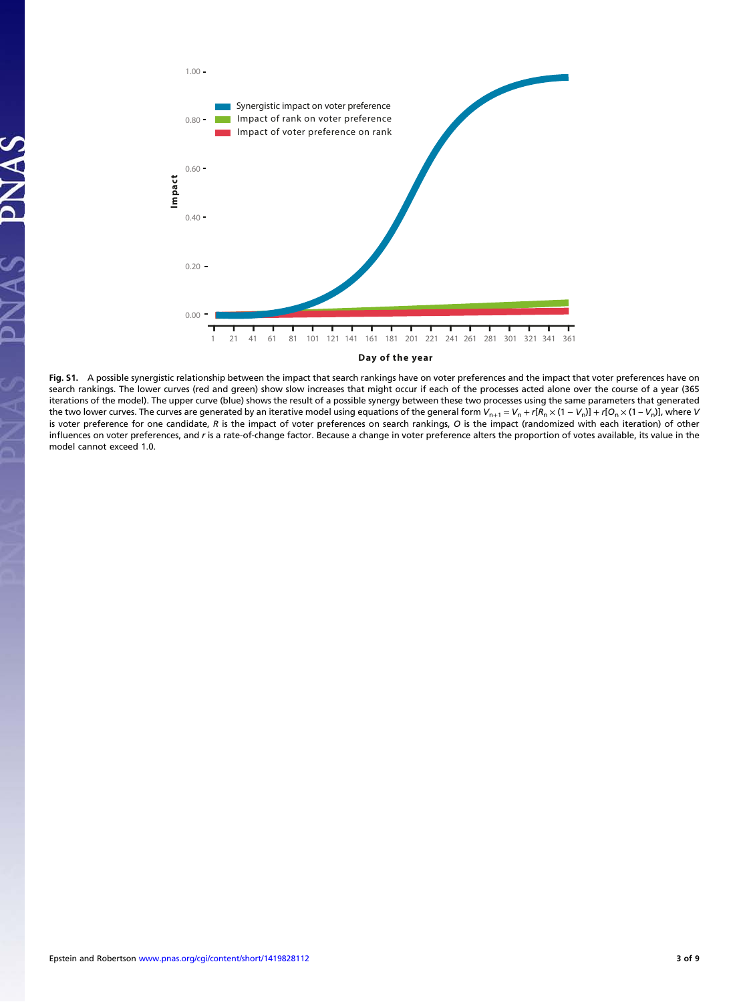

Fig. S1. A possible synergistic relationship between the impact that search rankings have on voter preferences and the impact that voter preferences have on search rankings. The lower curves (red and green) show slow increases that might occur if each of the processes acted alone over the course of a year (365 iterations of the model). The upper curve (blue) shows the result of a possible synergy between these two processes using the same parameters that generated the two lower curves. The curves are generated by an iterative model using equations of the general form  $V_{n+1} = V_n + r[R_n \times (1 - V_n)] + r[O_n \times (1 - V_n)]$ , where V is voter preference for one candidate, R is the impact of voter preferences on search rankings, O is the impact (randomized with each iteration) of other influences on voter preferences, and r is a rate-of-change factor. Because a change in voter preference alters the proportion of votes available, its value in the model cannot exceed 1.0.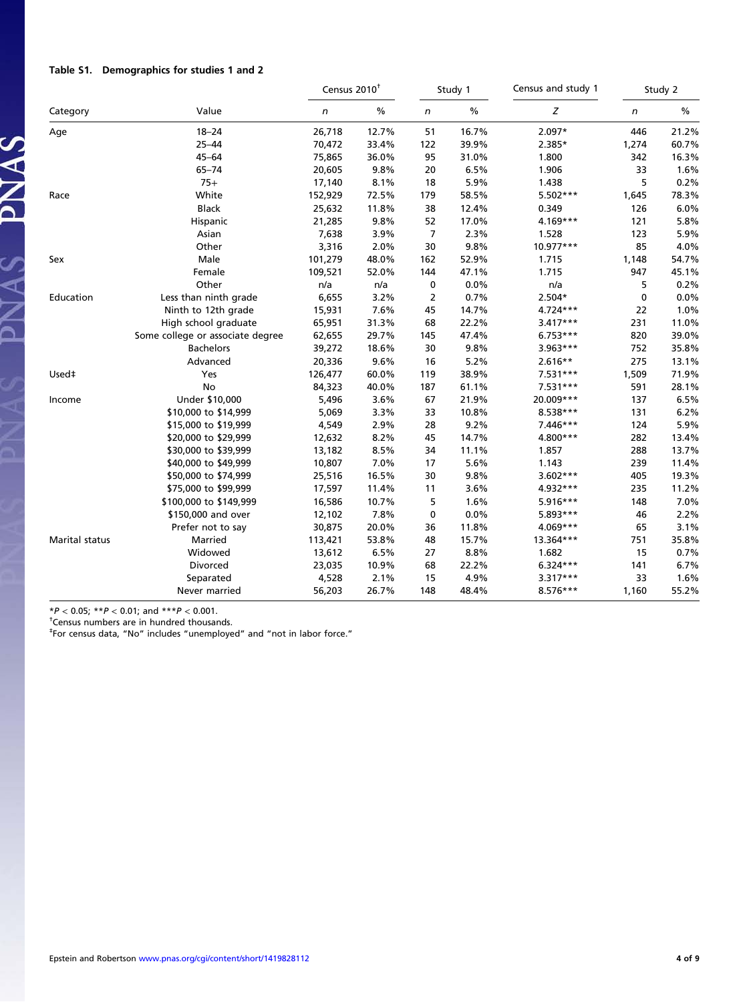# Table S1. Demographics for studies 1 and 2

PNAS PNAS

|                |                                  | Census 2010 <sup>+</sup> |       |                  | Study 1 | Census and study 1 | Study 2 |       |
|----------------|----------------------------------|--------------------------|-------|------------------|---------|--------------------|---------|-------|
| Category       | Value                            | $\boldsymbol{n}$         | $\%$  | $\boldsymbol{n}$ | $\%$    | $\boldsymbol{Z}$   | n       | $\%$  |
| Age            | $18 - 24$                        | 26,718                   | 12.7% | 51               | 16.7%   | 2.097*             | 446     | 21.2% |
|                | $25 - 44$                        | 70,472                   | 33.4% | 122              | 39.9%   | 2.385*             | 1,274   | 60.7% |
|                | $45 - 64$                        | 75,865                   | 36.0% | 95               | 31.0%   | 1.800              | 342     | 16.3% |
|                | $65 - 74$                        | 20,605                   | 9.8%  | 20               | 6.5%    | 1.906              | 33      | 1.6%  |
|                | $75+$                            | 17,140                   | 8.1%  | 18               | 5.9%    | 1.438              | 5       | 0.2%  |
| Race           | White                            | 152,929                  | 72.5% | 179              | 58.5%   | 5.502***           | 1,645   | 78.3% |
|                | <b>Black</b>                     | 25,632                   | 11.8% | 38               | 12.4%   | 0.349              | 126     | 6.0%  |
|                | Hispanic                         | 21,285                   | 9.8%  | 52               | 17.0%   | $4.169***$         | 121     | 5.8%  |
|                | Asian                            | 7,638                    | 3.9%  | $\overline{7}$   | 2.3%    | 1.528              | 123     | 5.9%  |
|                | Other                            | 3,316                    | 2.0%  | 30               | 9.8%    | 10.977***          | 85      | 4.0%  |
| Sex            | Male                             | 101,279                  | 48.0% | 162              | 52.9%   | 1.715              | 1,148   | 54.7% |
|                | Female                           | 109,521                  | 52.0% | 144              | 47.1%   | 1.715              | 947     | 45.1% |
|                | Other                            | n/a                      | n/a   | 0                | 0.0%    | n/a                | 5       | 0.2%  |
| Education      | Less than ninth grade            | 6,655                    | 3.2%  | 2                | 0.7%    | $2.504*$           | 0       | 0.0%  |
|                | Ninth to 12th grade              | 15,931                   | 7.6%  | 45               | 14.7%   | 4.724***           | 22      | 1.0%  |
|                | High school graduate             | 65,951                   | 31.3% | 68               | 22.2%   | $3.417***$         | 231     | 11.0% |
|                | Some college or associate degree | 62,655                   | 29.7% | 145              | 47.4%   | $6.753***$         | 820     | 39.0% |
|                | <b>Bachelors</b>                 | 39,272                   | 18.6% | 30               | 9.8%    | 3.963***           | 752     | 35.8% |
|                | Advanced                         | 20,336                   | 9.6%  | 16               | 5.2%    | $2.616**$          | 275     | 13.1% |
| Used‡          | Yes                              | 126,477                  | 60.0% | 119              | 38.9%   | $7.531***$         | 1,509   | 71.9% |
|                | No                               | 84,323                   | 40.0% | 187              | 61.1%   | $7.531***$         | 591     | 28.1% |
| Income         | Under \$10,000                   | 5,496                    | 3.6%  | 67               | 21.9%   | 20.009***          | 137     | 6.5%  |
|                | \$10,000 to \$14,999             | 5,069                    | 3.3%  | 33               | 10.8%   | 8.538***           | 131     | 6.2%  |
|                | \$15,000 to \$19,999             | 4,549                    | 2.9%  | 28               | 9.2%    | $7.446***$         | 124     | 5.9%  |
|                | \$20,000 to \$29,999             | 12,632                   | 8.2%  | 45               | 14.7%   | 4.800***           | 282     | 13.4% |
|                | \$30,000 to \$39,999             | 13,182                   | 8.5%  | 34               | 11.1%   | 1.857              | 288     | 13.7% |
|                | \$40,000 to \$49,999             | 10,807                   | 7.0%  | 17               | 5.6%    | 1.143              | 239     | 11.4% |
|                | \$50,000 to \$74,999             | 25,516                   | 16.5% | 30               | 9.8%    | 3.602***           | 405     | 19.3% |
|                | \$75,000 to \$99,999             | 17,597                   | 11.4% | 11               | 3.6%    | 4.932***           | 235     | 11.2% |
|                | \$100,000 to \$149,999           | 16,586                   | 10.7% | 5                | 1.6%    | 5.916***           | 148     | 7.0%  |
|                | \$150,000 and over               | 12,102                   | 7.8%  | 0                | 0.0%    | 5.893***           | 46      | 2.2%  |
|                | Prefer not to say                | 30,875                   | 20.0% | 36               | 11.8%   | 4.069***           | 65      | 3.1%  |
| Marital status | Married                          | 113,421                  | 53.8% | 48               | 15.7%   | 13.364***          | 751     | 35.8% |
|                | Widowed                          | 13,612                   | 6.5%  | 27               | 8.8%    | 1.682              | 15      | 0.7%  |
|                | Divorced                         | 23,035                   | 10.9% | 68               | 22.2%   | $6.324***$         | 141     | 6.7%  |
|                | Separated                        | 4,528                    | 2.1%  | 15               | 4.9%    | 3.317***           | 33      | 1.6%  |
|                | Never married                    | 56,203                   | 26.7% | 148              | 48.4%   | 8.576***           | 1,160   | 55.2% |

 $*P < 0.05$ ;  $**P < 0.01$ ; and  $***P < 0.001$ .

Census numbers are in hundred thousands. ‡ For census data, "No" includes "unemployed" and "not in labor force."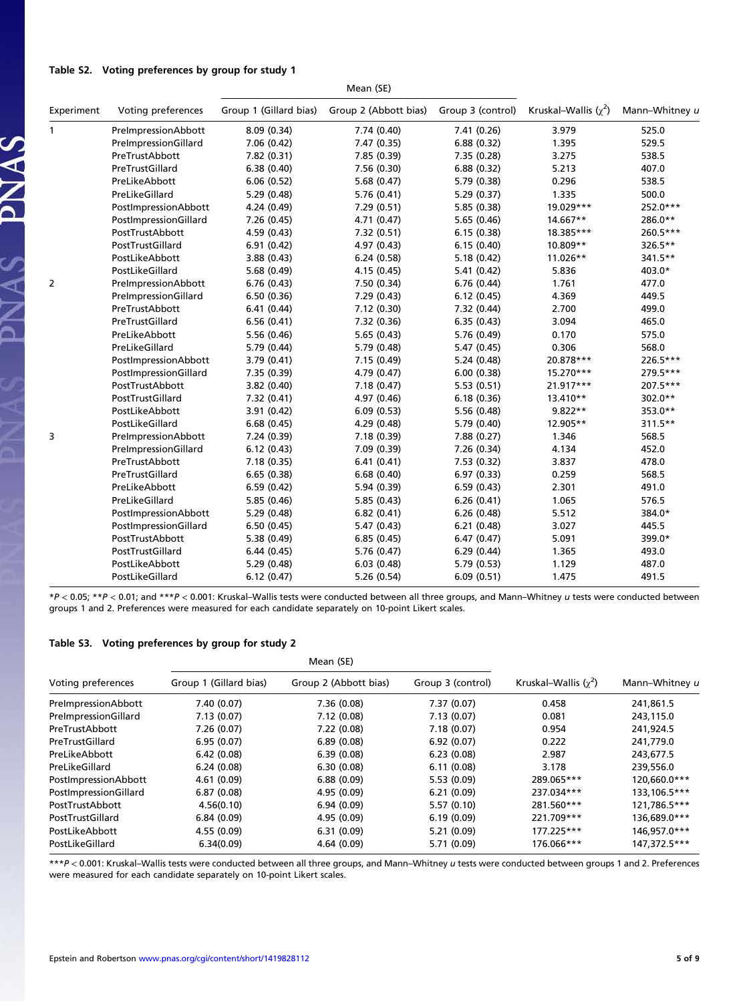### Table S2. Voting preferences by group for study 1

PNAS PNAS

| Experiment     | Voting preferences    |             | Group 1 (Gillard bias) Group 2 (Abbott bias) Group 3 (control) |             | Kruskal–Wallis $(\chi^2)$ | Mann-Whitney u |
|----------------|-----------------------|-------------|----------------------------------------------------------------|-------------|---------------------------|----------------|
| $\mathbf{1}$   | PreImpressionAbbott   | 8.09 (0.34) | 7.74 (0.40)                                                    | 7.41 (0.26) | 3.979                     | 525.0          |
|                | PreImpressionGillard  | 7.06(0.42)  | 7.47(0.35)                                                     | 6.88(0.32)  | 1.395                     | 529.5          |
|                | PreTrustAbbott        | 7.82 (0.31) | 7.85 (0.39)                                                    | 7.35 (0.28) | 3.275                     | 538.5          |
|                | PreTrustGillard       | 6.38(0.40)  | 7.56 (0.30)                                                    | 6.88(0.32)  | 5.213                     | 407.0          |
|                | PreLikeAbbott         | 6.06(0.52)  | 5.68(0.47)                                                     | 5.79 (0.38) | 0.296                     | 538.5          |
|                | PreLikeGillard        | 5.29(0.48)  | 5.76(0.41)                                                     | 5.29(0.37)  | 1.335                     | 500.0          |
|                | PostImpressionAbbott  | 4.24(0.49)  | 7.29(0.51)                                                     | 5.85(0.38)  | 19.029***                 | 252.0***       |
|                | PostImpressionGillard | 7.26 (0.45) | 4.71 (0.47)                                                    | 5.65(0.46)  | 14.667**                  | 286.0**        |
|                | PostTrustAbbott       | 4.59(0.43)  | 7.32 (0.51)                                                    | 6.15(0.38)  | 18.385***                 | 260.5***       |
|                | PostTrustGillard      | 6.91(0.42)  | 4.97(0.43)                                                     | 6.15(0.40)  | 10.809**                  | 326.5**        |
|                | PostLikeAbbott        | 3.88(0.43)  | 6.24(0.58)                                                     | 5.18(0.42)  | 11.026**                  | 341.5**        |
|                | PostLikeGillard       | 5.68(0.49)  | 4.15(0.45)                                                     | 5.41(0.42)  | 5.836                     | 403.0*         |
| $\overline{2}$ | PreImpressionAbbott   | 6.76(0.43)  | 7.50(0.34)                                                     | 6.76(0.44)  | 1.761                     | 477.0          |
|                | PreImpressionGillard  | 6.50(0.36)  | 7.29(0.43)                                                     | 6.12(0.45)  | 4.369                     | 449.5          |
|                | PreTrustAbbott        | 6.41(0.44)  | 7.12(0.30)                                                     | 7.32 (0.44) | 2.700                     | 499.0          |
|                | PreTrustGillard       | 6.56(0.41)  | 7.32 (0.36)                                                    | 6.35(0.43)  | 3.094                     | 465.0          |
|                | PreLikeAbbott         | 5.56 (0.46) | 5.65(0.43)                                                     | 5.76 (0.49) | 0.170                     | 575.0          |
|                | PreLikeGillard        | 5.79 (0.44) | 5.79 (0.48)                                                    | 5.47(0.45)  | 0.306                     | 568.0          |
|                | PostImpressionAbbott  | 3.79(0.41)  | 7.15(0.49)                                                     | 5.24(0.48)  | 20.878***                 | 226.5***       |
|                | PostImpressionGillard | 7.35(0.39)  | 4.79 (0.47)                                                    | 6.00(0.38)  | 15.270***                 | 279.5***       |
|                | PostTrustAbbott       | 3.82(0.40)  | 7.18(0.47)                                                     | 5.53(0.51)  | 21.917***                 | 207.5***       |
|                | PostTrustGillard      | 7.32(0.41)  | 4.97 (0.46)                                                    | 6.18(0.36)  | 13.410**                  | 302.0**        |
|                | PostLikeAbbott        | 3.91(0.42)  | 6.09(0.53)                                                     | 5.56 (0.48) | 9.822**                   | 353.0**        |
|                | PostLikeGillard       | 6.68(0.45)  | 4.29 (0.48)                                                    | 5.79 (0.40) | 12.905**                  | 311.5**        |
| 3              | PreImpressionAbbott   | 7.24 (0.39) | 7.18(0.39)                                                     | 7.88 (0.27) | 1.346                     | 568.5          |
|                | PreImpressionGillard  | 6.12(0.43)  | 7.09 (0.39)                                                    | 7.26 (0.34) | 4.134                     | 452.0          |
|                | PreTrustAbbott        | 7.18(0.35)  | 6.41(0.41)                                                     | 7.53(0.32)  | 3.837                     | 478.0          |
|                | PreTrustGillard       | 6.65(0.38)  | 6.68(0.40)                                                     | 6.97(0.33)  | 0.259                     | 568.5          |
|                | PreLikeAbbott         | 6.59(0.42)  | 5.94 (0.39)                                                    | 6.59(0.43)  | 2.301                     | 491.0          |
|                | PreLikeGillard        | 5.85(0.46)  | 5.85 (0.43)                                                    | 6.26(0.41)  | 1.065                     | 576.5          |
|                | PostImpressionAbbott  | 5.29(0.48)  | 6.82(0.41)                                                     | 6.26(0.48)  | 5.512                     | 384.0*         |
|                | PostImpressionGillard | 6.50(0.45)  | 5.47(0.43)                                                     | 6.21(0.48)  | 3.027                     | 445.5          |
|                | PostTrustAbbott       | 5.38 (0.49) | 6.85(0.45)                                                     | 6.47(0.47)  | 5.091                     | 399.0*         |
|                | PostTrustGillard      | 6.44(0.45)  | 5.76 (0.47)                                                    | 6.29(0.44)  | 1.365                     | 493.0          |
|                | PostLikeAbbott        | 5.29(0.48)  | 6.03(0.48)                                                     | 5.79 (0.53) | 1.129                     | 487.0          |
|                | PostLikeGillard       | 6.12(0.47)  | 5.26 (0.54)                                                    | 6.09(0.51)  | 1.475                     | 491.5          |

Mean (SE)

 $*P < 0.05$ ;  $**P < 0.01$ ; and  $***P < 0.001$ : Kruskal–Wallis tests were conducted between all three groups, and Mann–Whitney u tests were conducted between groups 1 and 2. Preferences were measured for each candidate separately on 10-point Likert scales.

#### Table S3. Voting preferences by group for study 2

|                       |                        | Mean (SE)             |                   |                        |                |
|-----------------------|------------------------|-----------------------|-------------------|------------------------|----------------|
| Voting preferences    | Group 1 (Gillard bias) | Group 2 (Abbott bias) | Group 3 (control) | Kruskal–Wallis $(y^2)$ | Mann-Whitney u |
| PreImpressionAbbott   | 7.40 (0.07)            | 7.36 (0.08)           | 7.37 (0.07)       | 0.458                  | 241.861.5      |
| PreImpressionGillard  | 7.13(0.07)             | 7.12(0.08)            | 7.13(0.07)        | 0.081                  | 243,115.0      |
| PreTrustAbbott        | 7.26 (0.07)            | 7.22 (0.08)           | 7.18(0.07)        | 0.954                  | 241,924.5      |
| PreTrustGillard       | 6.95(0.07)             | 6.89(0.08)            | 6.92(0.07)        | 0.222                  | 241,779.0      |
| PreLikeAbbott         | 6.42(0.08)             | 6.39(0.08)            | 6.23(0.08)        | 2.987                  | 243.677.5      |
| PreLikeGillard        | 6.24(0.08)             | 6.30(0.08)            | 6.11(0.08)        | 3.178                  | 239,556.0      |
| PostImpressionAbbott  | 4.61(0.09)             | 6.88(0.09)            | 5.53(0.09)        | 289.065***             | 120,660.0***   |
| PostImpressionGillard | 6.87(0.08)             | 4.95 (0.09)           | 6.21(0.09)        | 237.034***             | 133,106.5***   |
| PostTrustAbbott       | 4.56(0.10)             | 6.94(0.09)            | 5.57(0.10)        | 281.560***             | 121.786.5***   |
| PostTrustGillard      | 6.84(0.09)             | 4.95 (0.09)           | 6.19(0.09)        | 221.709***             | 136.689.0***   |
| PostLikeAbbott        | 4.55(0.09)             | 6.31(0.09)            | 5.21(0.09)        | 177.225***             | 146.957.0***   |
| PostLikeGillard       | 6.34(0.09)             | 4.64(0.09)            | 5.71 (0.09)       | 176.066***             | 147.372.5***   |

\*\*\*P < 0.001: Kruskal-Wallis tests were conducted between all three groups, and Mann-Whitney u tests were conducted between groups 1 and 2. Preferences were measured for each candidate separately on 10-point Likert scales.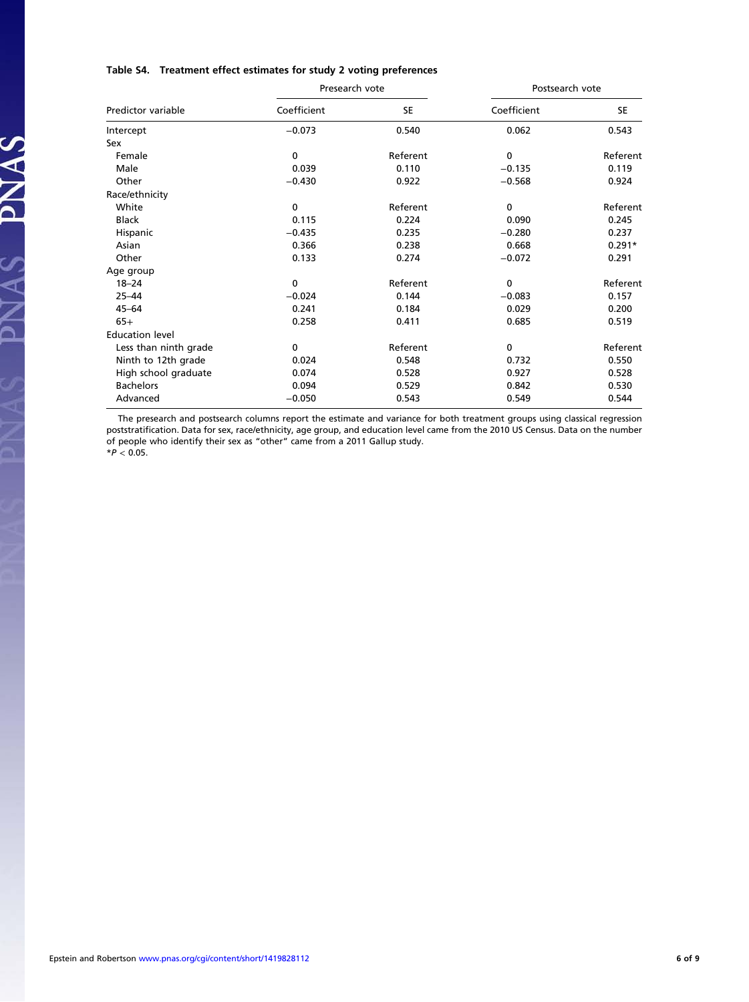# Table S4. Treatment effect estimates for study 2 voting preferences

|                        | Presearch vote |           |             | Postsearch vote |  |  |
|------------------------|----------------|-----------|-------------|-----------------|--|--|
| Predictor variable     | Coefficient    | <b>SE</b> | Coefficient | <b>SE</b>       |  |  |
| Intercept              | $-0.073$       | 0.540     | 0.062       | 0.543           |  |  |
| Sex                    |                |           |             |                 |  |  |
| Female                 | 0              | Referent  | 0           | Referent        |  |  |
| Male                   | 0.039          | 0.110     | $-0.135$    | 0.119           |  |  |
| Other                  | $-0.430$       | 0.922     | $-0.568$    | 0.924           |  |  |
| Race/ethnicity         |                |           |             |                 |  |  |
| White                  | $\mathbf 0$    | Referent  | 0           | Referent        |  |  |
| <b>Black</b>           | 0.115          | 0.224     | 0.090       | 0.245           |  |  |
| Hispanic               | $-0.435$       | 0.235     | $-0.280$    | 0.237           |  |  |
| Asian                  | 0.366          | 0.238     | 0.668       | $0.291*$        |  |  |
| Other                  | 0.133          | 0.274     | $-0.072$    | 0.291           |  |  |
| Age group              |                |           |             |                 |  |  |
| $18 - 24$              | 0              | Referent  | 0           | Referent        |  |  |
| $25 - 44$              | $-0.024$       | 0.144     | $-0.083$    | 0.157           |  |  |
| $45 - 64$              | 0.241          | 0.184     | 0.029       | 0.200           |  |  |
| $65+$                  | 0.258          | 0.411     | 0.685       | 0.519           |  |  |
| <b>Education level</b> |                |           |             |                 |  |  |
| Less than ninth grade  | $\mathbf 0$    | Referent  | $\mathbf 0$ | Referent        |  |  |
| Ninth to 12th grade    | 0.024          | 0.548     | 0.732       | 0.550           |  |  |
| High school graduate   | 0.074          | 0.528     | 0.927       | 0.528           |  |  |
| <b>Bachelors</b>       | 0.094          | 0.529     | 0.842       | 0.530           |  |  |
| Advanced               | $-0.050$       | 0.543     | 0.549       | 0.544           |  |  |

The presearch and postsearch columns report the estimate and variance for both treatment groups using classical regression poststratification. Data for sex, race/ethnicity, age group, and education level came from the 2010 US Census. Data on the number of people who identify their sex as "other" came from a 2011 Gallup study.

 $*P < 0.05$ .

PNAS PNAS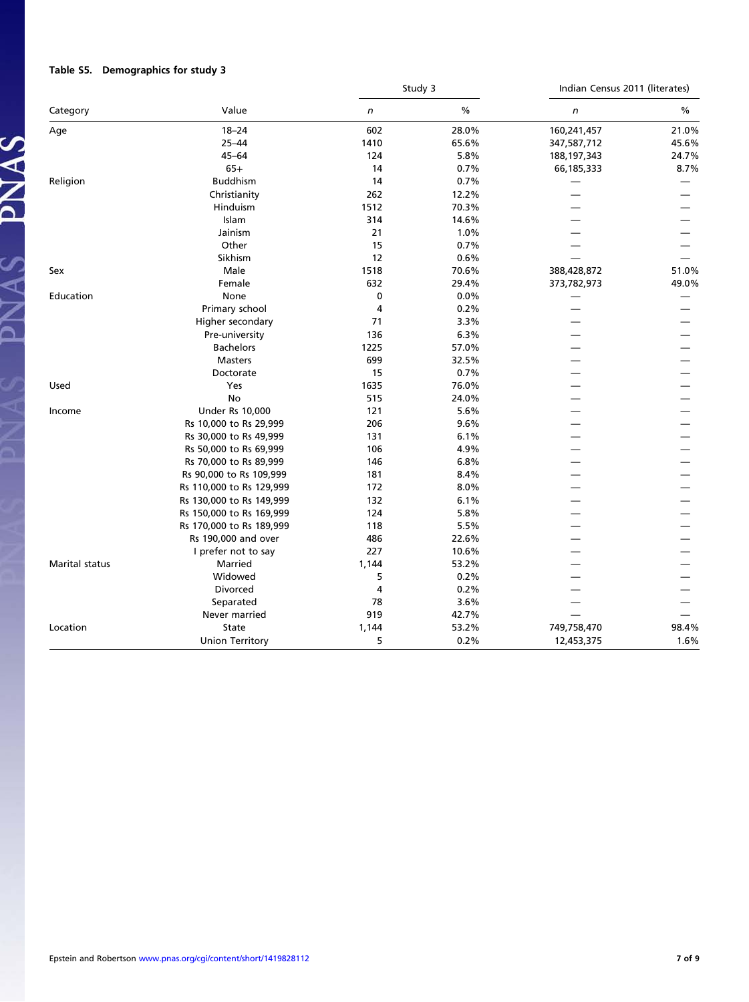# Table S5. Demographics for study 3

PNAS PNAS

|                       |                          |       | Study 3 | Indian Census 2011 (literates) |                                                                 |
|-----------------------|--------------------------|-------|---------|--------------------------------|-----------------------------------------------------------------|
| Category              | Value                    | n     | %       | $\boldsymbol{n}$               | %<br>21.0%<br>45.6%<br>24.7%<br>8.7%<br>51.0%<br>49.0%<br>98.4% |
| Age                   | $18 - 24$                | 602   | 28.0%   | 160,241,457                    |                                                                 |
|                       | $25 - 44$                | 1410  | 65.6%   | 347,587,712                    |                                                                 |
|                       | $45 - 64$                | 124   | 5.8%    | 188, 197, 343                  |                                                                 |
|                       | $65+$                    | 14    | 0.7%    | 66,185,333                     |                                                                 |
| Religion              | <b>Buddhism</b>          | 14    | 0.7%    |                                |                                                                 |
|                       | Christianity             | 262   | 12.2%   |                                |                                                                 |
|                       | Hinduism                 | 1512  | 70.3%   |                                |                                                                 |
|                       | Islam                    | 314   | 14.6%   |                                |                                                                 |
|                       | Jainism                  | 21    | 1.0%    |                                |                                                                 |
|                       | Other                    | 15    | 0.7%    |                                |                                                                 |
|                       | Sikhism                  | 12    | 0.6%    |                                |                                                                 |
| Sex                   | Male                     | 1518  | 70.6%   | 388,428,872                    |                                                                 |
|                       | Female                   | 632   | 29.4%   | 373,782,973                    |                                                                 |
| Education             | None                     | 0     | 0.0%    |                                |                                                                 |
|                       | Primary school           | 4     | 0.2%    |                                |                                                                 |
|                       | Higher secondary         | 71    | 3.3%    |                                |                                                                 |
|                       | Pre-university           | 136   | 6.3%    |                                |                                                                 |
|                       | <b>Bachelors</b>         | 1225  | 57.0%   |                                |                                                                 |
|                       | <b>Masters</b>           | 699   | 32.5%   |                                |                                                                 |
|                       | Doctorate                | 15    | 0.7%    |                                |                                                                 |
| Used                  | Yes                      | 1635  | 76.0%   |                                |                                                                 |
|                       | No                       | 515   | 24.0%   |                                |                                                                 |
| Income                | <b>Under Rs 10,000</b>   | 121   | 5.6%    |                                |                                                                 |
|                       | Rs 10,000 to Rs 29,999   | 206   | 9.6%    |                                |                                                                 |
|                       | Rs 30,000 to Rs 49,999   | 131   | 6.1%    |                                |                                                                 |
|                       | Rs 50,000 to Rs 69,999   | 106   | 4.9%    |                                |                                                                 |
|                       | Rs 70,000 to Rs 89,999   | 146   | 6.8%    |                                |                                                                 |
|                       | Rs 90,000 to Rs 109,999  | 181   | 8.4%    |                                |                                                                 |
|                       | Rs 110,000 to Rs 129,999 | 172   | 8.0%    |                                |                                                                 |
|                       | Rs 130,000 to Rs 149,999 | 132   | 6.1%    |                                |                                                                 |
|                       | Rs 150,000 to Rs 169,999 | 124   | 5.8%    |                                |                                                                 |
|                       | Rs 170,000 to Rs 189,999 | 118   | 5.5%    |                                |                                                                 |
|                       | Rs 190,000 and over      | 486   | 22.6%   |                                |                                                                 |
|                       | I prefer not to say      | 227   | 10.6%   |                                |                                                                 |
| <b>Marital status</b> | Married                  | 1,144 | 53.2%   |                                |                                                                 |
|                       | Widowed                  | 5     | 0.2%    |                                |                                                                 |
|                       | Divorced                 | 4     | 0.2%    |                                |                                                                 |
|                       | Separated                | 78    | 3.6%    |                                |                                                                 |
|                       | Never married            | 919   | 42.7%   | $\equiv$                       |                                                                 |
| Location              | State                    | 1,144 | 53.2%   | 749,758,470                    |                                                                 |
|                       | <b>Union Territory</b>   | 5     | 0.2%    | 12,453,375                     | 1.6%                                                            |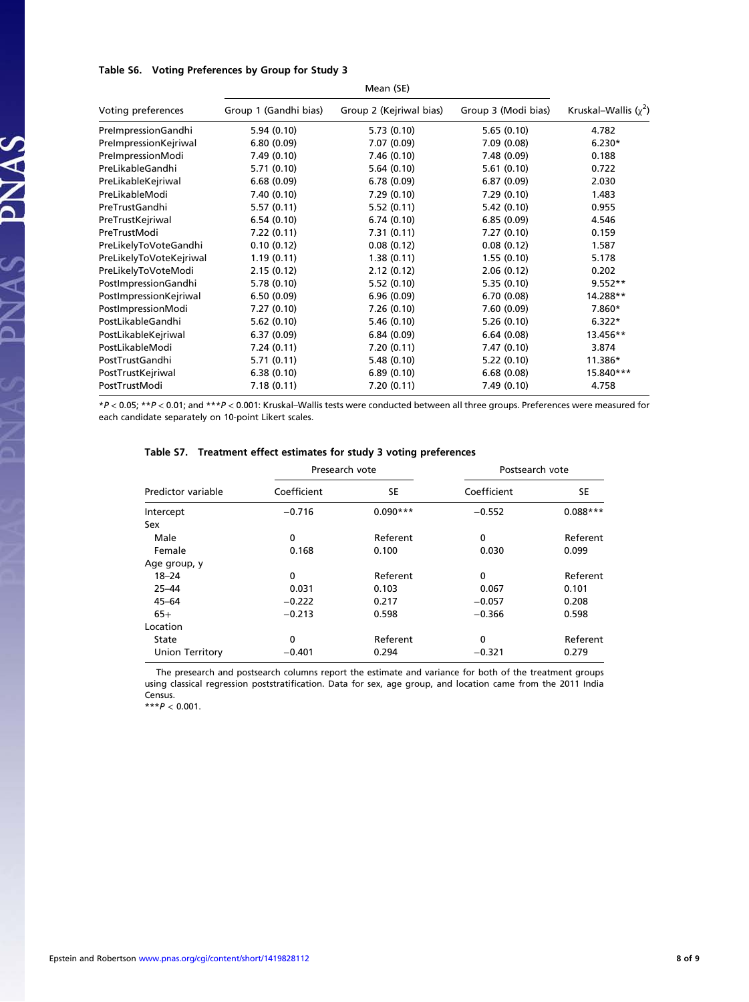### Table S6. Voting Preferences by Group for Study 3

PNAS PNAS

|                         |                       | Mean (SE)               |                     |                           |  |  |
|-------------------------|-----------------------|-------------------------|---------------------|---------------------------|--|--|
| Voting preferences      | Group 1 (Gandhi bias) | Group 2 (Kejriwal bias) | Group 3 (Modi bias) | Kruskal–Wallis $(\chi^2)$ |  |  |
| PreImpressionGandhi     | 5.94(0.10)            | 5.73(0.10)              | 5.65(0.10)          | 4.782                     |  |  |
| PreImpressionKejriwal   | 6.80(0.09)            | 7.07(0.09)              | 7.09(0.08)          | $6.230*$                  |  |  |
| PreImpressionModi       | 7.49(0.10)            | 7.46(0.10)              | 7.48 (0.09)         | 0.188                     |  |  |
| PreLikableGandhi        | 5.71(0.10)            | 5.64(0.10)              | 5.61(0.10)          | 0.722                     |  |  |
| PreLikableKejriwal      | 6.68(0.09)            | 6.78(0.09)              | 6.87(0.09)          | 2.030                     |  |  |
| PreLikableModi          | 7.40(0.10)            | 7.29(0.10)              | 7.29(0.10)          | 1.483                     |  |  |
| PreTrustGandhi          | 5.57(0.11)            | 5.52(0.11)              | 5.42(0.10)          | 0.955                     |  |  |
| PreTrustKejriwal        | 6.54(0.10)            | 6.74(0.10)              | 6.85(0.09)          | 4.546                     |  |  |
| PreTrustModi            | 7.22(0.11)            | 7.31(0.11)              | 7.27(0.10)          | 0.159                     |  |  |
| PreLikelyToVoteGandhi   | 0.10(0.12)            | 0.08(0.12)              | 0.08(0.12)          | 1.587                     |  |  |
| PreLikelyToVoteKejriwal | 1.19(0.11)            | 1.38(0.11)              | 1.55(0.10)          | 5.178                     |  |  |
| PreLikelyToVoteModi     | 2.15(0.12)            | 2.12(0.12)              | 2.06(0.12)          | 0.202                     |  |  |
| PostImpressionGandhi    | 5.78(0.10)            | 5.52(0.10)              | 5.35(0.10)          | $9.552**$                 |  |  |
| PostImpressionKejriwal  | 6.50(0.09)            | 6.96(0.09)              | 6.70(0.08)          | 14.288**                  |  |  |
| PostImpressionModi      | 7.27(0.10)            | 7.26(0.10)              | 7.60(0.09)          | 7.860*                    |  |  |
| PostLikableGandhi       | 5.62(0.10)            | 5.46(0.10)              | 5.26(0.10)          | $6.322*$                  |  |  |
| PostLikableKejriwal     | 6.37(0.09)            | 6.84(0.09)              | 6.64(0.08)          | 13.456**                  |  |  |
| PostLikableModi         | 7.24(0.11)            | 7.20(0.11)              | 7.47(0.10)          | 3.874                     |  |  |
| PostTrustGandhi         | 5.71(0.11)            | 5.48(0.10)              | 5.22(0.10)          | 11.386*                   |  |  |
| PostTrustKejriwal       | 6.38(0.10)            | 6.89(0.10)              | 6.68(0.08)          | 15.840***                 |  |  |
| PostTrustModi           | 7.18(0.11)            | 7.20(0.11)              | 7.49(0.10)          | 4.758                     |  |  |
|                         |                       |                         |                     |                           |  |  |

\*P < 0.05; \*\*P < 0.01; and \*\*\*P < 0.001: Kruskal–Wallis tests were conducted between all three groups. Preferences were measured for each candidate separately on 10-point Likert scales.

| Predictor variable | Presearch vote |            | Postsearch vote |            |  |
|--------------------|----------------|------------|-----------------|------------|--|
|                    | Coefficient    | <b>SE</b>  | Coefficient     | SE         |  |
| Intercept          | $-0.716$       | $0.090***$ | $-0.552$        | $0.088***$ |  |
| Sex                |                |            |                 |            |  |
| Male               | 0              | Referent   | 0               | Referent   |  |
| Female             | 0.168          | 0.100      | 0.030           | 0.099      |  |
| Age group, y       |                |            |                 |            |  |
| $18 - 24$          | 0              | Referent   | 0               | Referent   |  |
| $25 - 44$          | 0.031          | 0.103      | 0.067           | 0.101      |  |
| $45 - 64$          | $-0.222$       | 0.217      | $-0.057$        | 0.208      |  |
| $65+$              | $-0.213$       | 0.598      | $-0.366$        | 0.598      |  |
| Location           |                |            |                 |            |  |
| State              | $\mathbf 0$    | Referent   | $\mathbf{0}$    | Referent   |  |
| Union Territory    | $-0.401$       | 0.294      | $-0.321$        | 0.279      |  |

# Table S7. Treatment effect estimates for study 3 voting preferences

The presearch and postsearch columns report the estimate and variance for both of the treatment groups using classical regression poststratification. Data for sex, age group, and location came from the 2011 India Census.

\*\*\* $P < 0.001$ .